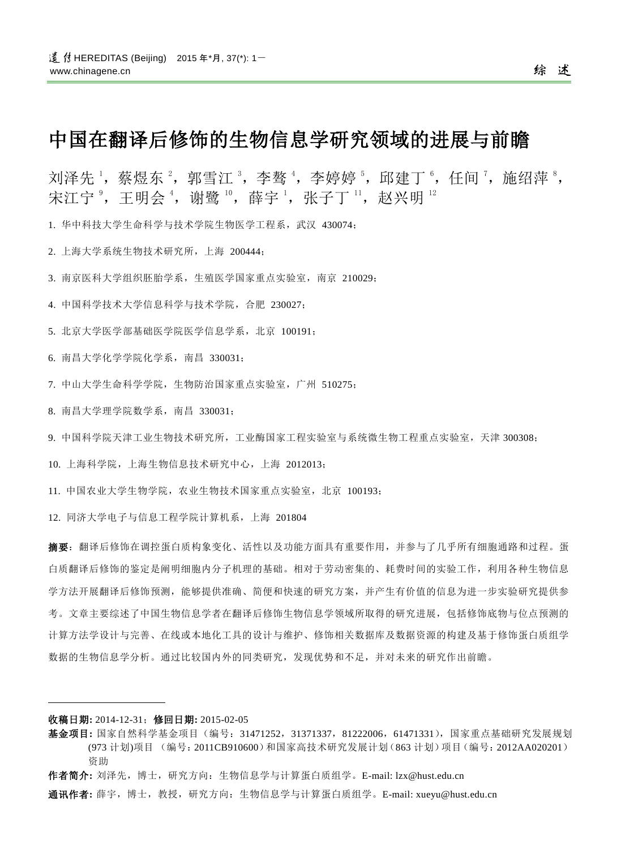# 中国在翻译后修饰的生物信息学研究领域的进展与前瞻

刘泽先 ',蔡煜东 ',郭雪江 ',李骜 ',李婷婷 ',邱建丁 ',任间 ',施绍萍 ', 宋江宁 ै,王明会  $^4$ ,谢鹭  $^{\rm 10}$ ,薛宇  $^{\rm 1}$ ,张子丁  $^{\rm 11}$ ,赵兴明  $^{\rm 12}$ 

1. 华中科技大学生命科学与技术学院生物医学工程系,武汉 430074;

2. 上海大学系统生物技术研究所,上海 200444;

3. 南京医科大学组织胚胎学系,生殖医学国家重点实验室,南京 210029;

4. 中国科学技术大学信息科学与技术学院,合肥 230027;

5. 北京大学医学部基础医学院医学信息学系,北京 100191;

6. 南昌大学化学学院化学系,南昌 330031;

7. 中山大学生命科学学院,生物防治国家重点实验室,广州 510275;

8. 南昌大学理学院数学系,南昌 330031;

9. 中国科学院天津工业生物技术研究所,工业酶国家工程实验室与系统微生物工程重点实验室,天津 300308;

10. 上海科学院,上海生物信息技术研究中心,上海 2012013;

11. 中国农业大学生物学院,农业生物技术国家重点实验室,北京 100193;

12. 同济大学电子与信息工程学院计算机系,上海 201804

摘要:翻译后修饰在调控蛋白质构象变化、活性以及功能方面具有重要作用,并参与了几乎所有细胞通路和过程。蛋 白质翻译后修饰的鉴定是阐明细胞内分子机理的基础。相对于劳动密集的、耗费时间的实验工作,利用各种生物信息 学方法开展翻译后修饰预测,能够提供准确、简便和快速的研究方案,并产生有价值的信息为进一步实验研究提供参 考。文章主要综述了中国生物信息学者在翻译后修饰生物信息学领域所取得的研究进展,包括修饰底物与位点预测的 计算方法学设计与完善、在线或本地化工具的设计与维护、修饰相关数据库及数据资源的构建及基于修饰蛋白质组学 数据的生物信息学分析。通过比较国内外的同类研究,发现优势和不足,并对未来的研究作出前瞻。

#### 收稿日期**:** 2014-12-31;修回日期**:** 2015-02-05

 $\overline{a}$ 

通讯作者**:** 薛宇,博士,教授,研究方向:生物信息学与计算蛋白质组学。E-mail: xueyu@hust.edu.cn

基金项目**:** 国家自然科学基金项目(编号:31471252,31371337,81222006,61471331),国家重点基础研究发展规划 (973 计划)项目 (编号:2011CB910600)和国家高技术研究发展计划(863 计划)项目(编号:2012AA020201) 资助

作者简介**:** 刘泽先,博士,研究方向:生物信息学与计算蛋白质组学。E-mail: lzx@hust.edu.cn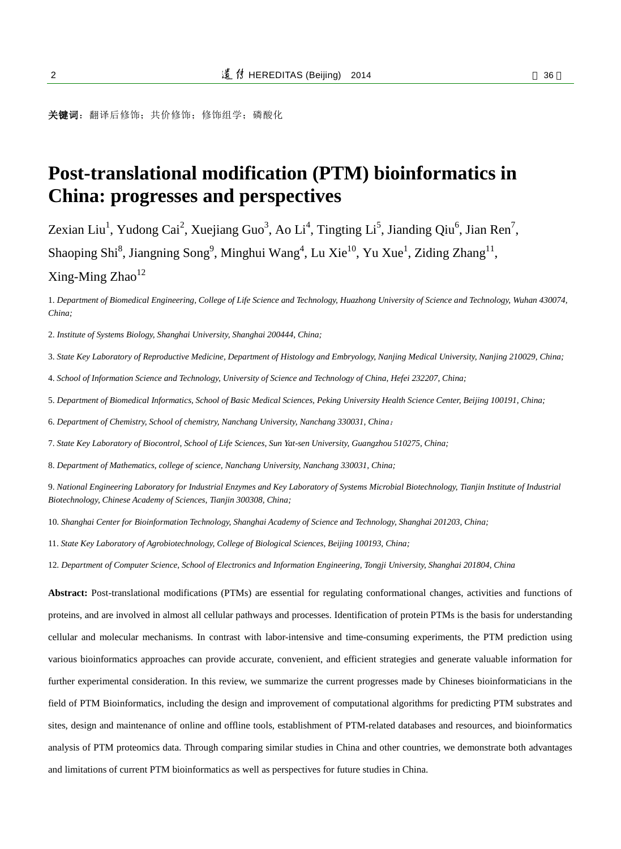关键词: 翻译后修饰;共价修饰;修饰组学;磷酸化

# **Post-translational modification (PTM) bioinformatics in China: progresses and perspectives**

Zexian Liu<sup>1</sup>, Yudong Cai<sup>2</sup>, Xuejiang Guo<sup>3</sup>, Ao Li<sup>4</sup>, Tingting Li<sup>5</sup>, Jianding Qiu<sup>6</sup>, Jian Ren<sup>7</sup>, Shaoping Shi<sup>8</sup>, Jiangning Song<sup>9</sup>, Minghui Wang<sup>4</sup>, Lu Xie<sup>10</sup>, Yu Xue<sup>1</sup>, Ziding Zhang<sup>11</sup>,

 $Xing-Ming Zhao<sup>12</sup>$ 

1. *Department of Biomedical Engineering, College of Life Science and Technology, Huazhong University of Science and Technology, Wuhan 430074, China;*

2. *Institute of Systems Biology, Shanghai University, Shanghai 200444, China;*

3. *State Key Laboratory of Reproductive Medicine, Department of Histology and Embryology, Nanjing Medical University, Nanjing 210029, China;*

4. *School of Information Science and Technology, University of Science and Technology of China, Hefei 232207, China;*

5. *Department of Biomedical Informatics, School of Basic Medical Sciences, Peking University Health Science Center, Beijing 100191, China;*

6. *Department of Chemistry, School of chemistry, Nanchang University, Nanchang 330031, China*;

7. *State Key Laboratory of Biocontrol, School of Life Sciences, Sun Yat-sen University, Guangzhou 510275, China;*

8. *Department of Mathematics, college of science, Nanchang University, Nanchang 330031, China;*

9. *National Engineering Laboratory for Industrial Enzymes and Key Laboratory of Systems Microbial Biotechnology, Tianjin Institute of Industrial Biotechnology, Chinese Academy of Sciences, Tianjin 300308, China;*

10. *Shanghai Center for Bioinformation Technology, Shanghai Academy of Science and Technology, Shanghai 201203, China;*

11. *State Key Laboratory of Agrobiotechnology, College of Biological Sciences, Beijing 100193, China;*

12. *Department of Computer Science, School of Electronics and Information Engineering, Tongji University, Shanghai 201804, China*

**Abstract:** Post-translational modifications (PTMs) are essential for regulating conformational changes, activities and functions of proteins, and are involved in almost all cellular pathways and processes. Identification of protein PTMs is the basis for understanding cellular and molecular mechanisms. In contrast with labor-intensive and time-consuming experiments, the PTM prediction using various bioinformatics approaches can provide accurate, convenient, and efficient strategies and generate valuable information for further experimental consideration. In this review, we summarize the current progresses made by Chineses bioinformaticians in the field of PTM Bioinformatics, including the design and improvement of computational algorithms for predicting PTM substrates and sites, design and maintenance of online and offline tools, establishment of PTM-related databases and resources, and bioinformatics analysis of PTM proteomics data. Through comparing similar studies in China and other countries, we demonstrate both advantages and limitations of current PTM bioinformatics as well as perspectives for future studies in China.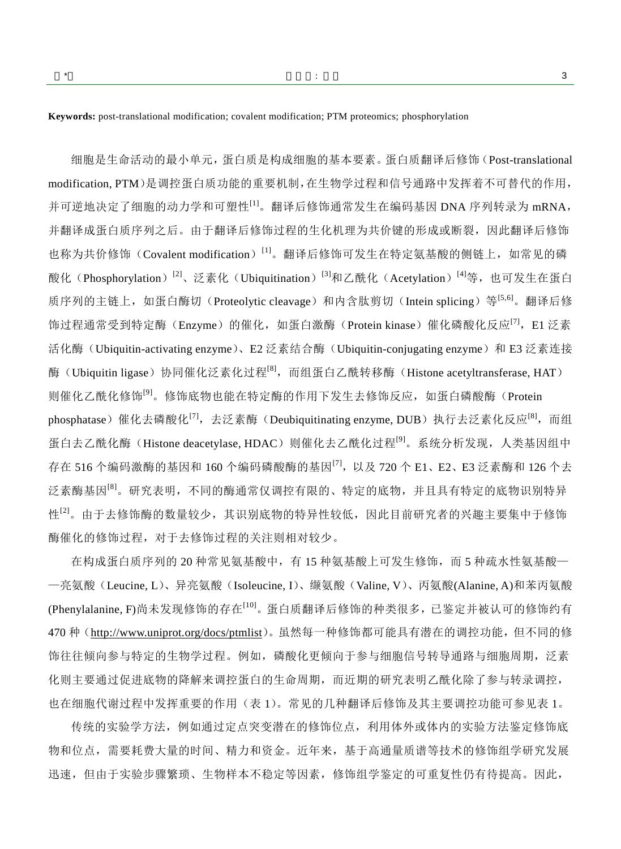**Keywords:** post-translational modification; covalent modification; PTM proteomics; phosphorylation

细胞是生命活动的最小单元,蛋白质是构成细胞的基本要素。蛋白质翻译后修饰(Post-translational modification, PTM)是调控蛋白质功能的重要机制,在生物学过程和信号通路中发挥着不可替代的作用, 并可逆地决定了细胞的动力学和可塑性<sup>[\[1\]](#page-14-0)</sup>。翻译后修饰通常发生在编码基因 DNA 序列转录为 mRNA, 并翻译成蛋白质序列之后。由于翻译后修饰过程的生化机理为共价键的形成或断裂,因此翻译后修饰 也称为共价修饰 (Covalent modification) [\[1\]](#page-14-0)。翻译后修饰可发生在特定氨基酸的侧链上, 如常见的磷 酸化(Phosphorylation)<sup>[\[2\]](#page-14-1)</sup>、泛素化(Ubiquitination)<sup>[\[3\]](#page-14-2)</sup>和乙酰化(Acetylation)<sup>[\[4\]](#page-14-3)</sup>等,也可发生在蛋白 质序列的主链上,如蛋白酶切(Proteolytic cleavage)和内含肽剪切(Intein splicing)等<sup>[\[5,](#page-14-4)[6\]](#page-14-5)</sup>。翻译后修 饰过程通常受到特定酶(Enzyme)的催化,如蛋白激酶(Protein kinase)催化磷酸化反应<sup>[\[7\]](#page-14-6)</sup>,E1 泛素 活化酶(Ubiquitin-activating enzyme)、E2 泛素结合酶(Ubiquitin-conjugating enzyme)和 E3 泛素连接 酶(Ubiquitin ligase)协同催化泛素化过程<sup>[\[8\]](#page-14-7)</sup>,而组蛋白乙酰转移酶(Histone acetyltransferase, HAT) 则催化乙酰化修饰<sup>[\[9\]](#page-14-8)</sup>。修饰底物也能在特定酶的作用下发生去修饰反应, 如蛋白磷酸酶(Protein phosphatase)催化去磷酸化<sup>[\[7\]](#page-14-6)</sup>,去泛素酶(Deubiquitinating enzyme, DUB)执行去泛素化反应<sup>[\[8\]](#page-14-7)</sup>,而组 蛋白去乙酰化酶(Histone deacetylase, HDAC)则催化去乙酰化过程<sup>[\[9\]](#page-14-8)</sup>。系统分析发现,人类基因组中 存在 516 个编码激酶的基因和 160 个编码磷酸酶的基因<sup>[\[7\]](#page-14-6)</sup>,以及 720 个 E1、E2、E3 泛素酶和 126 个去 泛素酶基因<sup>[\[8\]](#page-14-7)</sup>。研究表明,不同的酶通常仅调控有限的、特定的底物,并且具有特定的底物识别特异 性<sup>[\[2\]](#page-14-1)</sup>。由于去修饰酶的数量较少,其识别底物的特异性较低,因此目前研究者的兴趣主要集中于修饰 酶催化的修饰过程,对于去修饰过程的关注则相对较少。

在构成蛋白质序列的 20 种常见氨基酸中,有 15 种氨基酸上可发生修饰,而 5 种疏水性氨基酸— —亮氨酸(Leucine, L)、异亮氨酸(Isoleucine, I)、缬氨酸(Valine, V)、丙氨酸(Alanine, A)和苯丙氨酸 (Phenylalanine, F)尚未发现修饰的存在<sup>[\[10\]](#page-14-9)</sup>。蛋白质翻译后修饰的种类很多, 已鉴定并被认可的修饰约有 470 种(<http://www.uniprot.org/docs/ptmlist>)。虽然每一种修饰都可能具有潜在的调控功能,但不同的修 饰往往倾向参与特定的生物学过程。例如,磷酸化更倾向于参与细胞信号转导通路与细胞周期,泛素 化则主要通过促进底物的降解来调控蛋白的生命周期,而近期的研究表明乙酰化除了参与转录调控, 也在细胞代谢过程中发挥重要的作用(表 1)。常见的几种翻译后修饰及其主要调控功能可参见表 1。

传统的实验学方法,例如通过定点突变潜在的修饰位点,利用体外或体内的实验方法鉴定修饰底 物和位点,需要耗费大量的时间、精力和资金。近年来,基于高通量质谱等技术的修饰组学研究发展 迅速,但由于实验步骤繁琐、生物样本不稳定等因素,修饰组学鉴定的可重复性仍有待提高。因此,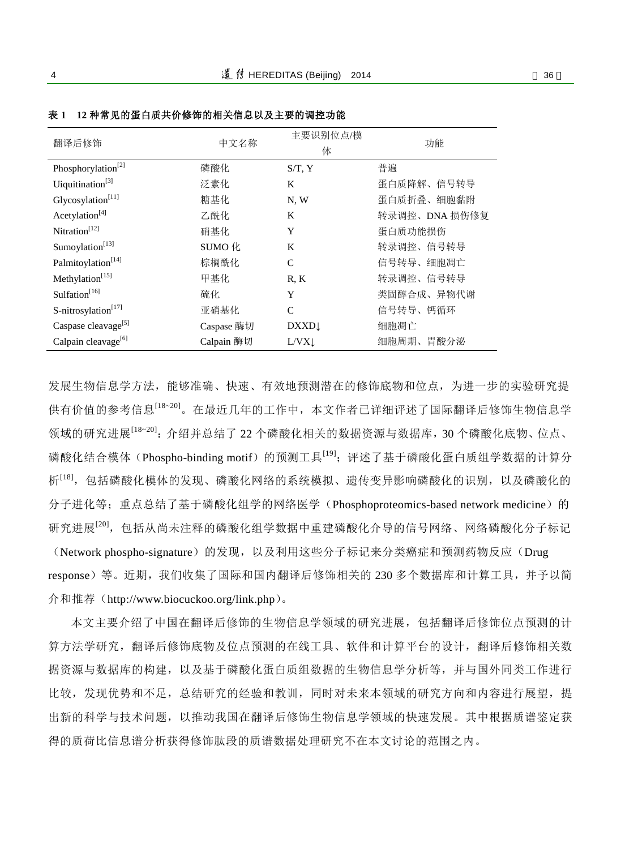| 翻译后修饰                           | 中文名称       | 主要识别位点/模<br>体 | 功能            |
|---------------------------------|------------|---------------|---------------|
| Phosphorylation <sup>[2]</sup>  | 磷酸化        | $S/T$ , $Y$   | 普遍            |
| Uiquitination <sup>[3]</sup>    | 泛素化        | K             | 蛋白质降解、信号转导    |
| Glycosylation <sup>[11]</sup>   | 糖基化        | N, W          | 蛋白质折叠、细胞黏附    |
| Acetylation <sup>[4]</sup>      | 乙酰化        | K             | 转录调控、DNA 损伤修复 |
| Nitration <sup>[12]</sup>       | 硝基化        | Y             | 蛋白质功能损伤       |
| Sumoylation <sup>[13]</sup>     | SUMO 化     | K             | 转录调控、信号转导     |
| Palmitoylation <sup>[14]</sup>  | 棕榈酰化       | $\mathsf{C}$  | 信号转导、细胞凋亡     |
| Methylation <sup>[15]</sup>     | 甲基化        | R, K          | 转录调控、信号转导     |
| Sulfation <sup>[16]</sup>       | 硫化         | Y             | 类固醇合成、异物代谢    |
| S-nitrosylation <sup>[17]</sup> | 亚硝基化       | C             | 信号转导、钙循环      |
| Caspase cleavage <sup>[5]</sup> | Caspase 酶切 | <b>DXXD</b>   | 细胞凋亡          |
| Calpain cleavage <sup>[6]</sup> | Calpain 酶切 | L/VX          | 细胞周期、胃酸分泌     |

表 **1 12** 种常见的蛋白质共价修饰的相关信息以及主要的调控功能

发展生物信息学方法,能够准确、快速、有效地预测潜在的修饰底物和位点,为进一步的实验研究提 供有价值的参考信息<sup>[\[18~20\]](#page-15-0)</sup>。在最近几年的工作中,本文作者已详细评述了国际翻译后修饰生物信息学 领域的研究进展[\[18~20\]](#page-15-0): 介绍并总结了 22 个磷酸化相关的数据资源与数据库, 30 个磷酸化底物、位点、 磷酸化结合模体(Phospho-binding motif)的预测工具<sup>[\[19\]](#page-15-1)</sup>; 评述了基于磷酸化蛋白质组学数据的计算分 析<sup>[\[18\]](#page-15-0)</sup>, 包括磷酸化模体的发现、磷酸化网络的系统模拟、遗传变异影响磷酸化的识别, 以及磷酸化的 分子进化等; 重点总结了基于磷酸化组学的网络医学(Phosphoproteomics-based network medicine)的 研究进展<sup>[\[20\]](#page-15-2)</sup>,包括从尚未注释的磷酸化组学数据中重建磷酸化介导的信号网络、网络磷酸化分子标记 (Network phospho-signature)的发现,以及利用这些分子标记来分类癌症和预测药物反应(Drug response)等。近期,我们收集了国际和国内翻译后修饰相关的 230 多个数据库和计算工具,并予以简 介和推荐(http://www.biocuckoo.org/link.php)。

本文主要介绍了中国在翻译后修饰的生物信息学领域的研究进展,包括翻译后修饰位点预测的计 算方法学研究,翻译后修饰底物及位点预测的在线工具、软件和计算平台的设计,翻译后修饰相关数 据资源与数据库的构建,以及基于磷酸化蛋白质组数据的生物信息学分析等,并与国外同类工作进行 比较,发现优势和不足,总结研究的经验和教训,同时对未来本领域的研究方向和内容进行展望,提 出新的科学与技术问题,以推动我国在翻译后修饰生物信息学领域的快速发展。其中根据质谱鉴定获 得的质荷比信息谱分析获得修饰肽段的质谱数据处理研究不在本文讨论的范围之内。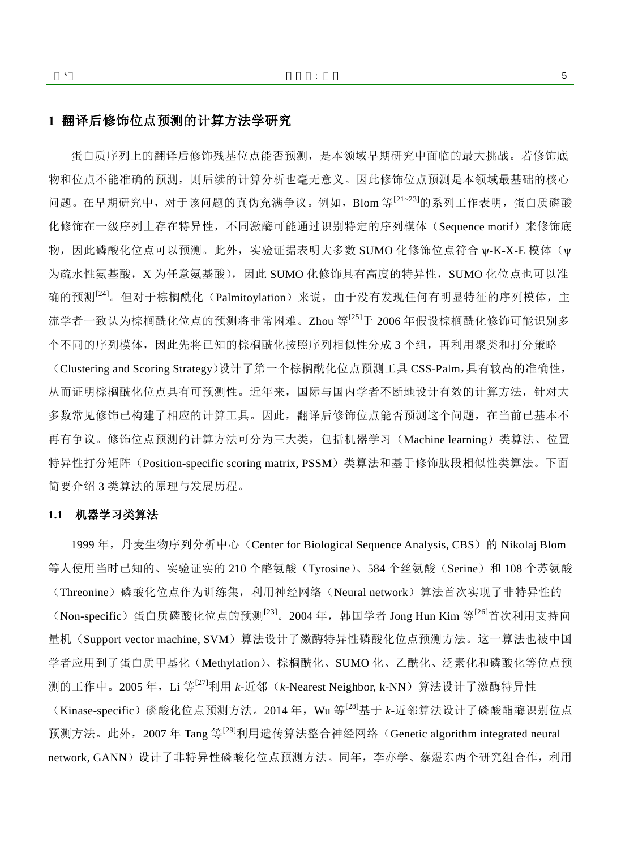## **1** 翻译后修饰位点预测的计算方法学研究

蛋白质序列上的翻译后修饰残基位点能否预测,是本领域早期研究中面临的最大挑战。若修饰底 物和位点不能准确的预测,则后续的计算分析也毫无意义。因此修饰位点预测是本领域最基础的核心 问题。在早期研究中,对于该问题的真伪充满争议。例如,Blom 等<sup>[\[21~23\]](#page-15-3)</sup>的系列工作表明,蛋白质磷酸 化修饰在一级序列上存在特异性,不同激酶可能通过识别特定的序列模体(Sequence motif)来修饰底 物,因此磷酸化位点可以预测。此外,实验证据表明大多数 SUMO 化修饰位点符合 w-K-X-E 模体(w 为疏水性氨基酸,X 为任意氨基酸),因此 SUMO 化修饰具有高度的特异性, SUMO 化位点也可以准 确的预测<sup>[\[24\]](#page-15-4)</sup>。但对于棕榈酰化(Palmitoylation)来说,由于没有发现任何有明显特征的序列模体,主 流学者一致认为棕榈酰化位点的预测将非常困难。Zhou 等<sup>[\[25\]](#page-15-5)</sup>于 2006 年假设棕榈酰化修饰可能识别多 个不同的序列模体,因此先将已知的棕榈酰化按照序列相似性分成 3 个组,再利用聚类和打分策略 (Clustering and Scoring Strategy)设计了第一个棕榈酰化位点预测工具 CSS-Palm,具有较高的准确性, 从而证明棕榈酰化位点具有可预测性。近年来,国际与国内学者不断地设计有效的计算方法,针对大 多数常见修饰已构建了相应的计算工具。因此,翻译后修饰位点能否预测这个问题,在当前已基本不 再有争议。修饰位点预测的计算方法可分为三大类,包括机器学习(Machine learning)类算法、位置 特异性打分矩阵(Position-specific scoring matrix, PSSM)类算法和基于修饰肽段相似性类算法。下面 简要介绍 3 类算法的原理与发展历程。

#### **1.1** 机器学习类算法

1999年,丹麦生物序列分析中心 (Center for Biological Sequence Analysis, CBS) 的 Nikolaj Blom 等人使用当时已知的、实验证实的 210 个酪氨酸(Tyrosine)、584 个丝氨酸(Serine)和 108 个苏氨酸 (Threonine)磷酸化位点作为训练集,利用神经网络(Neural network)算法首次实现了非特异性的 (Non-specific) 蛋白质磷酸化位点的预测<sup>[\[23\]](#page-15-6)</sup>。2004年,韩国学者 Jong Hun Kim 等<sup>[\[26\]](#page-15-7)</sup>首次利用支持向 量机(Support vector machine, SVM)算法设计了激酶特异性磷酸化位点预测方法。这一算法也被中国 学者应用到了蛋白质甲基化(Methylation)、棕榈酰化、SUMO 化、乙酰化、泛素化和磷酸化等位点预 测的工作中。2005 年,Li 等<sup>[\[27\]](#page-15-8)</sup>利用 *k*-近邻(*k-*Nearest Neighbor, k-NN)算法设计了激酶特异性 (Kinase-specific)磷酸化位点预测方法。2014年, Wu 等<sup>[\[28\]](#page-15-9)</sup>基于 *k*-近邻算法设计了磷酸酯酶识别位点 预测方法。此外,2007 年 Tang 等<sup>[\[29\]](#page-15-10)</sup>利用遗传算法整合神经网络(Genetic algorithm integrated neural network, GANN)设计了非特异性磷酸化位点预测方法。同年,李亦学、蔡煜东两个研究组合作,利用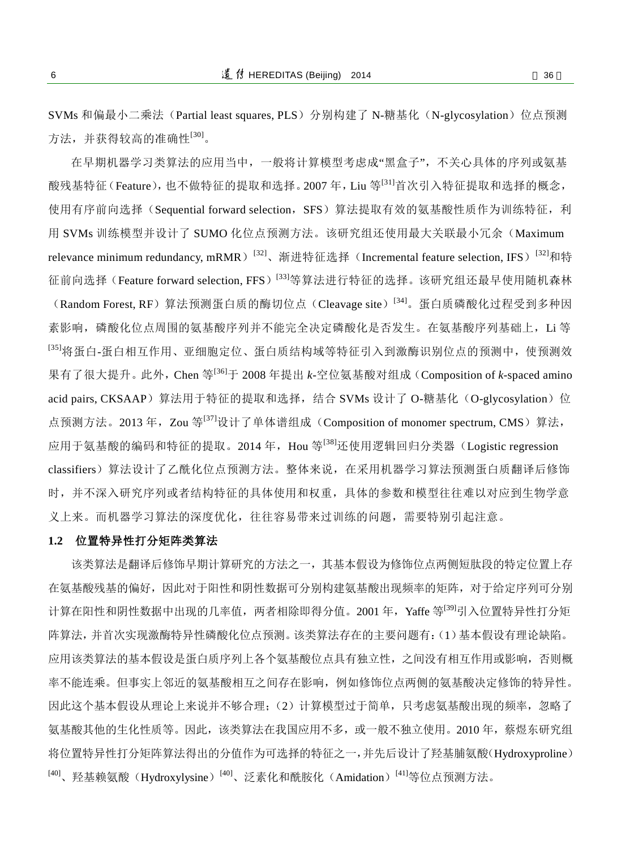SVMs 和偏最小二乘法(Partial least squares, PLS)分别构建了 N-糖基化(N-glycosylation)位点预测 方法,并获得较高的准确性<sup>[\[30\]](#page-15-11)</sup>。

在早期机器学习类算法的应用当中,一般将计算模型考虑成"黑盒子",不关心具体的序列或氨基 酸残基特征(Feature),也不做特征的提取和选择。2007年,Liu 等[\[31\]](#page-15-12)首次引入特征提取和选择的概念, 使用有序前向选择(Sequential forward selection, SFS)算法提取有效的氨基酸性质作为训练特征,利 用 SVMs 训练模型并设计了 SUMO 化位点预测方法。该研究组还使用最大关联最小冗余(Maximum relevance minimum redundancy, mRMR)<sup>[\[32\]](#page-15-13)</sup>、渐进特征选择(Incremental feature selection, IFS)<sup>[32]</sup>和特 征前向选择(Feature forward selection, FFS)<sup>[\[33\]](#page-15-14)</sup>等算法进行特征的选择。该研究组还最早使用随机森林 (Random Forest, RF) 算法预测蛋白质的酶切位点(Cleavage site)<sup>[\[34\]](#page-15-15)</sup>。蛋白质磷酸化过程受到多种因 素影响,磷酸化位点周围的氨基酸序列并不能完全决定磷酸化是否发生。在氨基酸序列基础上,Li 等 <sup>[\[35\]](#page-15-16)</sup>将蛋白-蛋白相互作用、亚细胞定位、蛋白质结构域等特征引入到激酶识别位点的预测中, 使预测效 果有了很大提升。此外,Chen 等[\[36\]](#page-15-17) 于 2008 年提出 *k*-空位氨基酸对组成(Composition of *k*-spaced amino acid pairs, CKSAAP)算法用于特征的提取和选择,结合 SVMs 设计了 O-糖基化(O-glycosylation)位 点预测方法。2013 年,Zou 等<sup>[\[37\]](#page-15-18)</sup>设计了单体谱组成(Composition of monomer spectrum, CMS)算法, 应用于氨基酸的编码和特征的提取。2014 年,Hou 等<sup>[\[38\]](#page-15-19)</sup>还使用逻辑回归分类器(Logistic regression classifiers)算法设计了乙酰化位点预测方法。整体来说,在采用机器学习算法预测蛋白质翻译后修饰 时,并不深入研究序列或者结构特征的具体使用和权重,具体的参数和模型往往难以对应到生物学意 义上来。而机器学习算法的深度优化,往往容易带来过训练的问题,需要特别引起注意。

#### **1.2** 位置特异性打分矩阵类算法

该类算法是翻译后修饰早期计算研究的方法之一,其基本假设为修饰位点两侧短肽段的特定位置上存 在氨基酸残基的偏好,因此对于阳性和阴性数据可分别构建氨基酸出现频率的矩阵,对于给定序列可分别 计算在阳性和阴性数据中出现的几率值,两者相除即得分值。2001 年,Yaffe 等<sup>[\[39\]](#page-15-20)</sup>引入位置特异性打分矩 阵算法,并首次实现激酶特异性磷酸化位点预测。该类算法存在的主要问题有:(1)基本假设有理论缺陷。 应用该类算法的基本假设是蛋白质序列上各个氨基酸位点具有独立性,之间没有相互作用或影响,否则概 率不能连乘。但事实上邻近的氨基酸相互之间存在影响,例如修饰位点两侧的氨基酸决定修饰的特异性。 因此这个基本假设从理论上来说并不够合理;(2)计算模型过于简单,只考虑氨基酸出现的频率,忽略了 氨基酸其他的生化性质等。因此,该类算法在我国应用不多,或一般不独立使用。2010 年,蔡煜东研究组 将位置特异性打分矩阵算法得出的分值作为可选择的特征之一,并先后设计了羟基脯氨酸(Hydroxyproline) <sup>[\[40\]](#page-15-21)</sup>、羟基赖氨酸(Hydroxylysine)<sup>[40]</sup>、泛素化和酰胺化(Amidation)<sup>[\[41\]](#page-15-22)</sup>等位点预测方法。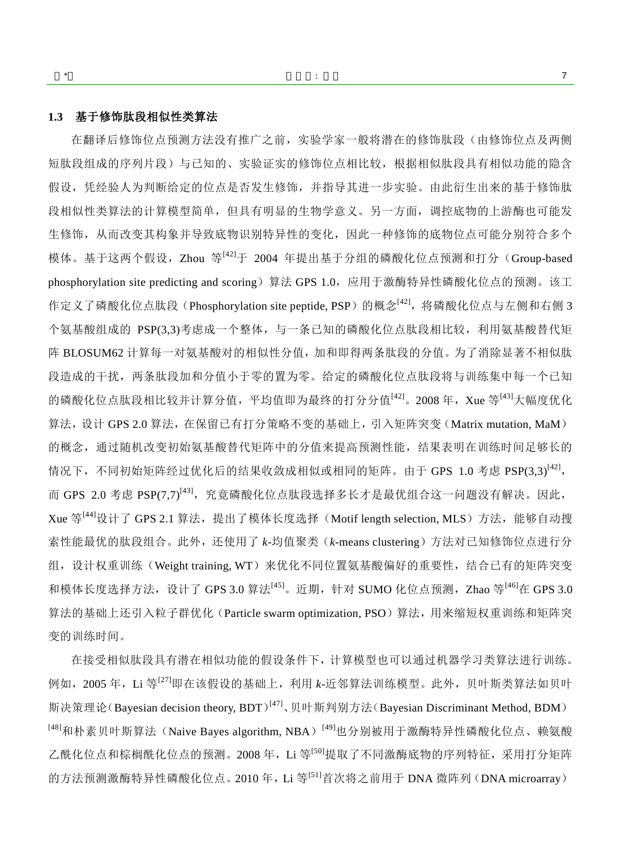#### **1.3** 基于修饰肽段相似性类算法

在翻译后修饰位点预测方法没有推广之前,实验学家一般将潜在的修饰肽段(由修饰位点及两侧 短肽段组成的序列片段)与已知的、实验证实的修饰位点相比较,根据相似肽段具有相似功能的隐含 假设,凭经验人为判断给定的位点是否发生修饰,并指导其进一步实验。由此衍生出来的基于修饰肽 段相似性类算法的计算模型简单,但具有明显的生物学意义。另一方面,调控底物的上游酶也可能发 生修饰,从而改变其构象并导致底物识别特异性的变化,因此一种修饰的底物位点可能分别符合多个 模体。基于这两个假设,Zhou 等<sup>[\[42\]](#page-15-23)</sup>于 2004 年提出基于分组的磷酸化位点预测和打分(Group-based phosphorylation site predicting and scoring)算法 GPS 1.0,应用于激酶特异性磷酸化位点的预测。该工 作定义了磷酸化位点肽段(Phosphorylation site peptide, PSP)的概念<sup>[\[42\]](#page-15-23)</sup>,将磷酸化位点与左侧和右侧 3 个氨基酸组成的 PSP(3,3)考虑成一个整体,与一条已知的磷酸化位点肽段相比较,利用氨基酸替代矩 阵 BLOSUM62 计算每一对氨基酸对的相似性分值,加和即得两条肽段的分值。为了消除显著不相似肽 段造成的干扰,两条肽段加和分值小于零的置为零。给定的磷酸化位点肽段将与训练集中每一个已知 的磷酸化位点肽段相比较并计算分值,平均值即为最终的打分分值<sup>[\[42\]](#page-15-23)</sup>。2008年,Xue 等<sup>[\[43\]](#page-15-24)</sup>大幅度优化 算法,设计 GPS 2.0 算法, 在保留已有打分策略不变的基础上, 引入矩阵突变(Matrix mutation, MaM) 的概念,通过随机改变初始氨基酸替代矩阵中的分值来提高预测性能,结果表明在训练时间足够长的 情况下,不同初始矩阵经过优化后的结果收敛成相似或相同的矩阵。由于 GPS 1.0 考虑 PSP(3,3)<sup>[\[42\]](#page-15-23)</sup>, 而 GPS 2.0 考虑 PSP(7,7)<sup>[\[43\]](#page-15-24)</sup>,究竟磷酸化位点肽段选择多长才是最优组合这一问题没有解决。因此, Xue 等<sup>[\[44\]](#page-15-25)</sup>设计了 GPS 2.1 算法,提出了模体长度选择(Motif length selection, MLS)方法,能够自动搜 索性能最优的肽段组合。此外,还使用了 *k*-均值聚类(*k*-means clustering)方法对已知修饰位点进行分 组,设计权重训练(Weight training, WT)来优化不同位置氨基酸偏好的重要性,结合已有的矩阵突变 和模体长度选择方法,设计了 GPS 3.0 算法<sup>[\[45\]](#page-15-26)</sup>。近期,针对 SUMO 化位点预测,Zhao 等<sup>[\[46\]](#page-16-0)</sup>在 GPS 3.0 算法的基础上还引入粒子群优化(Particle swarm optimization, PSO)算法,用来缩短权重训练和矩阵突 变的训练时间。

在接受相似肽段具有潜在相似功能的假设条件下,计算模型也可以通过机器学习类算法进行训练。 例如, 2005年, Li 等<sup>[\[27\]](#page-15-8)</sup>即在该假设的基础上, 利用 k-近邻算法训练模型。此外, 贝叶斯类算法如贝叶 斯决策理论(Bayesian decision theory, BDT)<sup>[\[47\]](#page-16-1)</sup>、贝叶斯判别方法(Bayesian Discriminant Method, BDM) <sup>[\[48\]](#page-16-2)</sup>和朴素贝叶斯算法(Naive Bayes algorithm, NBA)<sup>[\[49\]](#page-16-3)</sup>也分别被用于激酶特异性磷酸化位点、赖氨酸 乙酰化位点和棕榈酰化位点的预测。2008年,Li 等[\[50\]](#page-16-4)提取了不同激酶底物的序列特征,采用打分矩阵 的方法预测激酶特异性磷酸化位点。2010年, Li 等<sup>[\[51\]](#page-16-5)</sup>首次将之前用于 DNA 微阵列 (DNA microarray)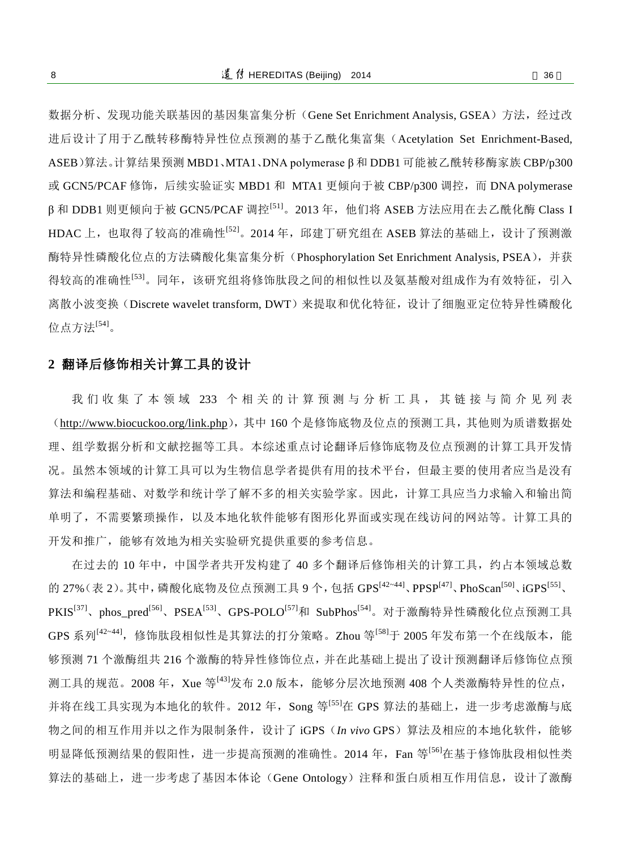数据分析、发现功能关联基因的基因集富集分析(Gene Set Enrichment Analysis, GSEA)方法,经过改 进后设计了用于乙酰转移酶特异性位点预测的基于乙酰化集富集(Acetylation Set Enrichment-Based, ASEB)算法。计算结果预测 MBD1、MTA1、DNA polymerase β 和 DDB1 可能被乙酰转移酶家族 CBP/p300 或 GCN5/PCAF 修饰, 后续实验证实 MBD1 和 MTA1 更倾向于被 CBP/p300 调控, 而 DNA polymerase β和 DDB1 则更倾向于被 GCN5/PCAF 调控<sup>[\[51\]](#page-16-5)</sup>。2013 年,他们将 ASEB 方法应用在去乙酰化酶 Class I HDAC 上,也取得了较高的准确性 $^{[52]}$  $^{[52]}$  $^{[52]}$ 。2014 年,邱建丁研究组在 ASEB 算法的基础上,设计了预测激 酶特异性磷酸化位点的方法磷酸化集富集分析(Phosphorylation Set Enrichment Analysis, PSEA),并获 得较高的准确性<sup>[\[53\]](#page-16-7)</sup>。同年,该研究组将修饰肽段之间的相似性以及氨基酸对组成作为有效特征,引入 离散小波变换(Discrete wavelet transform, DWT)来提取和优化特征,设计了细胞亚定位特异性磷酸化 位点方法<sup>[\[54\]](#page-16-8)</sup>。

### **2** 翻译后修饰相关计算工具的设计

我 们 收 集 了 本 领 域 233 个 相 关 的 计 算 预 测 与 分 析 工 具 , 其 链 接 与 简 介 见 列 表 (<http://www.biocuckoo.org/link.php>),其中 160 个是修饰底物及位点的预测工具,其他则为质谱数据处 理、组学数据分析和文献挖掘等工具。本综述重点讨论翻译后修饰底物及位点预测的计算工具开发情 况。虽然本领域的计算工具可以为生物信息学者提供有用的技术平台,但最主要的使用者应当是没有 算法和编程基础、对数学和统计学了解不多的相关实验学家。因此,计算工具应当力求输入和输出简 单明了,不需要繁琐操作,以及本地化软件能够有图形化界面或实现在线访问的网站等。计算工具的 开发和推广,能够有效地为相关实验研究提供重要的参考信息。

在过去的 10 年中,中国学者共开发构建了 40 多个翻译后修饰相关的计算工具,约占本领域总数 的 27%(表 2)。其中, 磷酸化底物及位点预测工具 9 个, 包括 GPS<sup>[\[42~44\]](#page-15-23)</sup>、PPSP<sup>[\[47\]](#page-16-1)</sup>、PhoScan<sup>[\[50\]](#page-16-4)</sup>、iGPS<sup>[\[55\]](#page-16-9)</sup>、 PKIS<sup>[\[37\]](#page-15-18)</sup>、phos\_pred<sup>[\[56\]](#page-16-10)</sup>、PSEA<sup>[\[53\]](#page-16-7)</sup>、GPS-POLO<sup>[\[57\]](#page-16-11)</sup>和 SubPhos<sup>[\[54\]](#page-16-8)</sup>。对于激酶特异性磷酸化位点预测工具 GPS 系列<sup>[\[42~44\]](#page-15-23)</sup>,修饰肽段相似性是其算法的打分策略。Zhou 等<sup>[\[58\]](#page-16-12)</sup>于 2005 年发布第一个在线版本,能 够预测 71 个激酶组共 216 个激酶的特异性修饰位点,并在此基础上提出了设计预测翻译后修饰位点预 测工具的规范。2008 年,Xue 等<sup>[\[43\]](#page-15-24)</sup>发布 2.0 版本,能够分层次地预测 408 个人类激酶特异性的位点, 并将在线工具实现为本地化的软件。2012 年, Song 等<sup>[\[55\]](#page-16-9)</sup>在 GPS 算法的基础上, 进一步考虑激酶与底 物之间的相互作用并以之作为限制条件,设计了 iGPS(*In vivo* GPS)算法及相应的本地化软件,能够 明显降低预测结果的假阳性,进一步提高预测的准确性。2014年,Fan 等<sup>[\[56\]](#page-16-10)</sup>在基于修饰肽段相似性类 算法的基础上,进一步考虑了基因本体论(Gene Ontology)注释和蛋白质相互作用信息,设计了激酶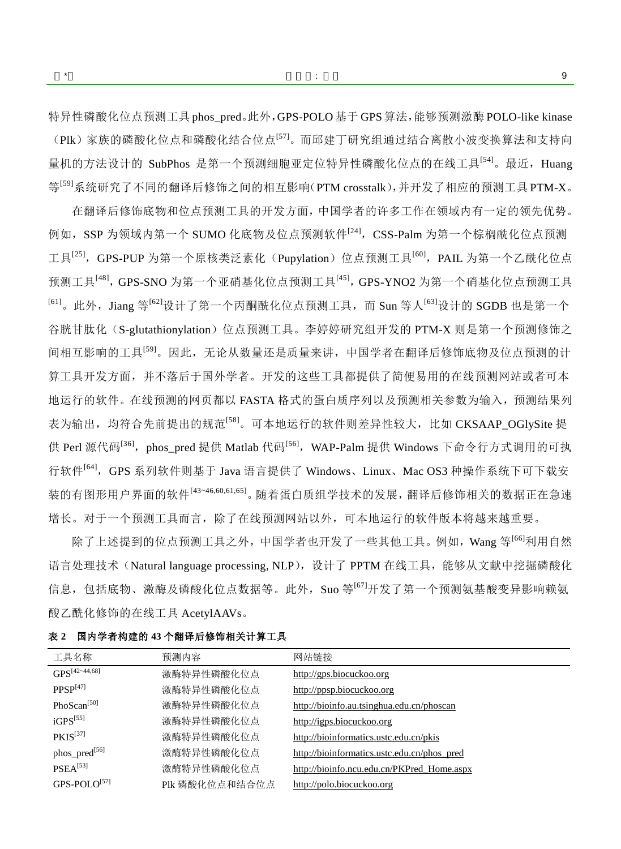特异性磷酸化位点预测工具 phos\_pred。此外, GPS-POLO 基于 GPS 算法, 能够预测激酶 POLO-like kinase (Plk) 家族的磷酸化位点和磷酸化结合位点<sup>[\[57\]](#page-16-11)</sup>。而邱建丁研究组通过结合离散小波变换算法和支持向 量机的方法设计的 SubPhos 是第一个预测细胞亚定位特异性磷酸化位点的在线工具<sup>[\[54\]](#page-16-8)</sup>。最近,Huang 等<sup>[\[59\]](#page-16-13)</sup>系统研究了不同的翻译后修饰之间的相互影响(PTM crosstalk),并开发了相应的预测工具 PTM-X。

在翻译后修饰底物和位点预测工具的开发方面,中国学者的许多工作在领域内有一定的领先优势。 例如,SSP 为领域内第一个 SUMO 化底物及位点预测软件<sup>[\[24\]](#page-15-4)</sup>,CSS-Palm 为第一个棕榈酰化位点预测 工具<sup>[\[25\]](#page-15-5)</sup>,GPS-PUP 为第一个原核类泛素化(Pupylation)位点预测工具<sup>[\[60\]](#page-16-14)</sup>,PAIL 为第一个乙酰化位点 预测工具[<sup>48]</sup>, GPS-SNO 为第一个亚硝基化位点预测工具[<sup>45]</sup>, GPS-YNO2 为第一个硝基化位点预测工具 <sup>[\[61\]](#page-16-15)</sup>。此外,Jiang 等<sup>[\[62\]](#page-16-16)</sup>设计了第一个丙酮酰化位点预测工具,而 Sun 等人<sup>[\[63\]](#page-16-17)</sup>设计的 SGDB 也是第一个 谷胱甘肽化(S-glutathionylation)位点预测工具。李婷婷研究组开发的 PTM-X 则是第一个预测修饰之 间相互影响的工具<sup>[\[59\]](#page-16-13)</sup>。因此,无论从数量还是质量来讲,中国学者在翻译后修饰底物及位点预测的计 算工具开发方面,并不落后于国外学者。开发的这些工具都提供了简便易用的在线预测网站或者可本 地运行的软件。在线预测的网页都以 FASTA 格式的蛋白质序列以及预测相关参数为输入,预测结果列 表为输出,均符合先前提出的规范<sup>[\[58\]](#page-16-12)</sup>。可本地运行的软件则差异性较大, 比如 CKSAAP\_OGlySite 提 供 Perl 源代码<sup>[\[36\]](#page-15-17)</sup>,phos\_pred 提供 Matlab 代码<sup>[\[56\]](#page-16-10)</sup>,WAP-Palm 提供 Windows 下命令行方式调用的可执 行软件<sup>[\[64\]](#page-16-18)</sup>,GPS 系列软件则基于 Java 语言提供了 Windows、Linux、Mac OS3 种操作系统下可下载安 装的有图形用户界面的软件[\[43~46,](#page-15-24)[60,](#page-16-14)[61,](#page-16-15)[65\]](#page-16-19) 。随着蛋白质组学技术的发展,翻译后修饰相关的数据正在急速 增长。对于一个预测工具而言,除了在线预测网站以外,可本地运行的软件版本将越来越重要。

除了上述提到的位点预测工具之外,中国学者也开发了一些其他工具。例如,Wang 等<sup>[\[66\]](#page-16-20)</sup>利用自然 语言处理技术(Natural language processing, NLP),设计了 PPTM 在线工具,能够从文献中挖掘磷酸化 信息,包括底物、激酶及磷酸化位点数据等。此外, Suo 等<sup>[\[67\]](#page-16-21)</sup>开发了第一个预测氨基酸变异影响赖氨 酸乙酰化修饰的在线工具 AcetylAAVs。

| 工具名称                 | 预测内容           | 网站链接                                        |
|----------------------|----------------|---------------------------------------------|
| $GPS^{[42-44,68]}$   | 激酶特异性磷酸化位点     | http://gps.biocuckoo.org                    |
| PPSP <sup>[47]</sup> | 激酶特异性磷酸化位点     | http://ppsp.biocuckoo.org                   |
| PhoScan $^{[50]}$    | 激酶特异性磷酸化位点     | http://bioinfo.au.tsinghua.edu.cn/phoscan   |
| $iGPS^{[55]}$        | 激酶特异性磷酸化位点     | http://igps.biocuckoo.org                   |
| $PKIS^{[37]}$        | 激酶特异性磷酸化位点     | http://bioinformatics.ustc.edu.cn/pkis      |
| phos_pred[56]        | 激酶特异性磷酸化位点     | http://bioinformatics.ustc.edu.cn/phos_pred |
| PSEA <sup>[53]</sup> | 激酶特异性磷酸化位点     | http://bioinfo.ncu.edu.cn/PKPred Home.aspx  |
| $GPS-POLO[57]$       | Plk 磷酸化位点和结合位点 | http://polo.biocuckoo.org                   |

表 **2** 国内学者构建的 **43** 个翻译后修饰相关计算工具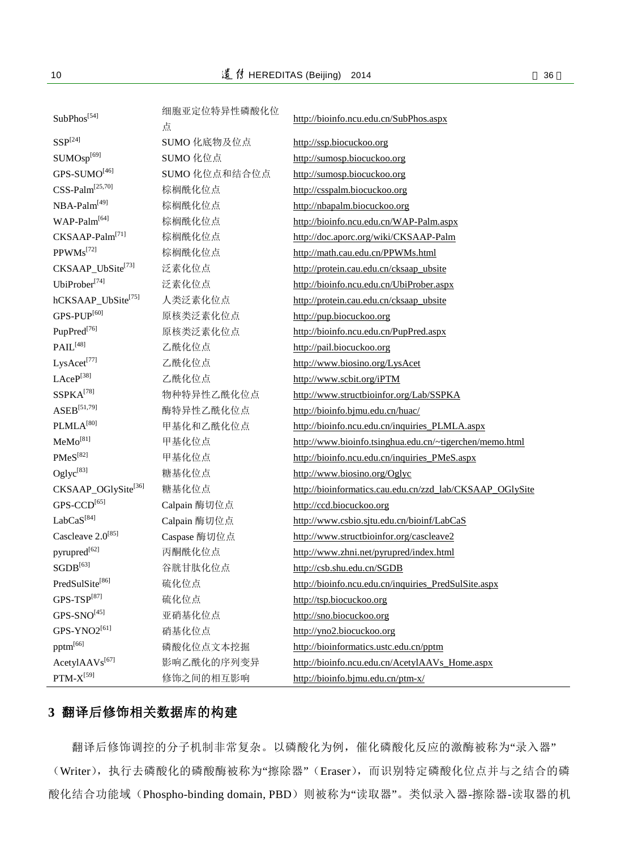| SubPhos <sup>[54]</sup>            | 细胞亚定位特异性磷酸化位<br>点 | http://bioinfo.ncu.edu.cn/SubPhos.aspx                   |  |
|------------------------------------|-------------------|----------------------------------------------------------|--|
| $SSP^{[24]}$                       | SUMO 化底物及位点       | http://ssp.biocuckoo.org                                 |  |
| SUMOsp <sup>[69]</sup>             | SUMO 化位点          | http://sumosp.biocuckoo.org                              |  |
| GPS-SUMO[46]                       | SUMO 化位点和结合位点     | http://sumosp.biocuckoo.org                              |  |
| $CSS\text{-}\text{Palm}^{[25,70]}$ | 棕榈酰化位点            | http://csspalm.biocuckoo.org                             |  |
| NBA-Palm <sup>[49]</sup>           | 棕榈酰化位点            | http://nbapalm.biocuckoo.org                             |  |
| WAP-Palm <sup>[64]</sup>           | 棕榈酰化位点            | http://bioinfo.ncu.edu.cn/WAP-Palm.aspx                  |  |
| CKSAAP-Palm <sup>[71]</sup>        | 棕榈酰化位点            | http://doc.aporc.org/wiki/CKSAAP-Palm                    |  |
| PPWMs <sup>[72]</sup>              | 棕榈酰化位点            | http://math.cau.edu.cn/PPWMs.html                        |  |
| CKSAAP_UbSite[73]                  | 泛素化位点             | http://protein.cau.edu.cn/cksaap_ubsite                  |  |
| UbiProber <sup>[74]</sup>          | 泛素化位点             | http://bioinfo.ncu.edu.cn/UbiProber.aspx                 |  |
| hCKSAAP_UbSite[75]                 | 人类泛素化位点           | http://protein.cau.edu.cn/cksaap_ubsite                  |  |
| GPS-PUP <sup>[60]</sup>            | 原核类泛素化位点          | http://pup.biocuckoo.org                                 |  |
| PupPred <sup>[76]</sup>            | 原核类泛素化位点          | http://bioinfo.ncu.edu.cn/PupPred.aspx                   |  |
| $\text{PAIL}^{[48]}$               | 乙酰化位点             | http://pail.biocuckoo.org                                |  |
| LysAcet <sup>[77]</sup>            | 乙酰化位点             | http://www.biosino.org/LysAcet                           |  |
| LAceP[38]                          | 乙酰化位点             | http://www.scbit.org/iPTM                                |  |
| SSPKA[78]                          | 物种特异性乙酰化位点        | http://www.structbioinfor.org/Lab/SSPKA                  |  |
| $\text{ASEB}^{[51,79]}$            | 酶特异性乙酰化位点         | http://bioinfo.bjmu.edu.cn/huac/                         |  |
| PLMLA <sup>[80]</sup>              | 甲基化和乙酰化位点         | http://bioinfo.ncu.edu.cn/inquiries_PLMLA.aspx           |  |
| MeMo <sup>[81]</sup>               | 甲基化位点             | http://www.bioinfo.tsinghua.edu.cn/~tigerchen/memo.html  |  |
| $PMeS^{[82]}$                      | 甲基化位点             | http://bioinfo.ncu.edu.cn/inquiries_PMeS.aspx            |  |
| Oglyc <sup>[83]</sup>              | 糖基化位点             | http://www.biosino.org/Oglyc                             |  |
| CKSAAP_OGlySite[36]                | 糖基化位点             | http://bioinformatics.cau.edu.cn/zzd_lab/CKSAAP_OGlySite |  |
| GPS-CCD[65]                        | Calpain 酶切位点      | http://ccd.biocuckoo.org                                 |  |
| LabCas <sup>[84]</sup>             | Calpain 酶切位点      | http://www.csbio.sjtu.edu.cn/bioinf/LabCaS               |  |
| Cascleave 2.0 <sup>[85]</sup>      | Caspase 酶切位点      | http://www.structbioinfor.org/cascleave2                 |  |
| pyrupred <sup>[62]</sup>           | 丙酮酰化位点            | http://www.zhni.net/pyrupred/index.html                  |  |
| $\text{SGDB}^{[63]}$               | 谷胱甘肽化位点           | http://csb.shu.edu.cn/SGDB                               |  |
| PredSulSite <sup>[86]</sup>        | 硫化位点              | http://bioinfo.ncu.edu.cn/inquiries_PredSulSite.aspx     |  |
| $GPS-TSP[87]$                      | 硫化位点              | http://tsp.biocuckoo.org                                 |  |
| $GPS-SNO^{[45]}$                   | 亚硝基化位点            | http://sno.biocuckoo.org                                 |  |
| GPS-YNO2 <sup>[61]</sup>           | 硝基化位点             | http://yno2.biocuckoo.org                                |  |
| $\rm{pptm}^{[66]}$                 | 磷酸化位点文本挖掘         | http://bioinformatics.ustc.edu.cn/pptm                   |  |
| AcetylAAVs <sup>[67]</sup>         | 影响乙酰化的序列变异        | http://bioinfo.ncu.edu.cn/AcetylAAVs_Home.aspx           |  |
| $\text{PTM-X}^{[59]}$              | 修饰之间的相互影响         | http://bioinfo.bjmu.edu.cn/ptm-x/                        |  |

# **3** 翻译后修饰相关数据库的构建

翻译后修饰调控的分子机制非常复杂。以磷酸化为例,催化磷酸化反应的激酶被称为"录入器" (Writer),执行去磷酸化的磷酸酶被称为"擦除器"(Eraser),而识别特定磷酸化位点并与之结合的磷 酸化结合功能域(Phospho-binding domain, PBD)则被称为"读取器"。类似录入器-擦除器-读取器的机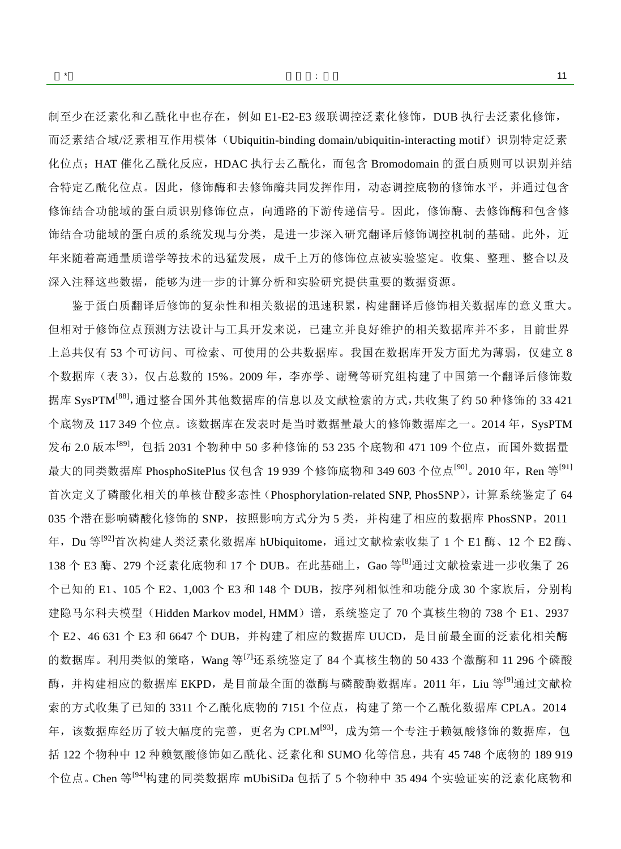制至少在泛素化和乙酰化中也存在,例如 E1-E2-E3 级联调控泛素化修饰,DUB 执行去泛素化修饰, 而泛素结合域/泛素相互作用模体(Ubiquitin-binding domain/ubiquitin-interacting motif)识别特定泛素 化位点;HAT 催化乙酰化反应,HDAC 执行去乙酰化,而包含 Bromodomain 的蛋白质则可以识别并结 合特定乙酰化位点。因此,修饰酶和去修饰酶共同发挥作用,动态调控底物的修饰水平,并通过包含 修饰结合功能域的蛋白质识别修饰位点,向通路的下游传递信号。因此,修饰酶、去修饰酶和包含修 饰结合功能域的蛋白质的系统发现与分类,是进一步深入研究翻译后修饰调控机制的基础。此外,近 年来随着高通量质谱学等技术的迅猛发展,成千上万的修饰位点被实验鉴定。收集、整理、整合以及 深入注释这些数据,能够为进一步的计算分析和实验研究提供重要的数据资源。

鉴于蛋白质翻译后修饰的复杂性和相关数据的迅速积累,构建翻译后修饰相关数据库的意义重大。 但相对于修饰位点预测方法设计与工具开发来说,已建立并良好维护的相关数据库并不多,目前世界 上总共仅有 53 个可访问、可检索、可使用的公共数据库。我国在数据库开发方面尤为薄弱,仅建立 8 个数据库(表 3),仅占总数的 15%。2009 年,李亦学、谢鹭等研究组构建了中国第一个翻译后修饰数 据库 SysPTM<sup>[\[88\]](#page-17-15)</sup>, 通过整合国外其他数据库的信息以及文献检索的方式, 共收集了约 50 种修饰的 33 421 个底物及 117 349 个位点。该数据库在发表时是当时数据量最大的修饰数据库之一。2014 年, SysPTM 发布 2.0 版本<sup>[\[89\]](#page-17-16)</sup>,包括 2031 个物种中 50 多种修饰的 53 235 个底物和 471 109 个位点,而国外数据量 最大的同类数据库 PhosphoSitePlus 仅包含 19 939 个修饰底物和 349 603 个位点<sup>[\[90\]](#page-17-17)</sup>。2010 年,Ren 等<sup>[\[91\]](#page-17-18)</sup> 首次定义了磷酸化相关的单核苷酸多态性(Phosphorylation-related SNP, PhosSNP),计算系统鉴定了 64 035 个潜在影响磷酸化修饰的 SNP,按照影响方式分为 5 类,并构建了相应的数据库 PhosSNP。2011 年,Du 等<sup>[\[92\]](#page-17-19)</sup>首次构建人类泛素化数据库 hUbiquitome,通过文献检索收集了 1 个 E1 酶、12 个 E2 酶、 138 个 E3 酶、279 个泛素化底物和 17 个 DUB。在此基础上, Gao 等<sup>[\[8\]](#page-14-7)</sup>通过文献检索进一步收集了 26 个已知的 E1、105 个 E2、1,003 个 E3 和 148 个 DUB, 按序列相似性和功能分成 30 个家族后, 分别构 建隐马尔科夫模型(Hidden Markov model, HMM)谱,系统鉴定了 70 个真核生物的 738 个 E1、2937 个 E2、46 631 个 E3 和 6647 个 DUB, 并构建了相应的数据库 UUCD, 是目前最全面的泛素化相关酶 的数据库。利用类似的策略,Wang 等<sup>[\[7\]](#page-14-6)</sup>还系统鉴定了 84 个真核生物的 50 433 个激酶和 11 296 个磷酸 酶,并构建相应的数据库 EKPD, 是目前最全面的激酶与磷酸酶数据库。2011 年, Liu 等<sup>[\[9\]](#page-14-8)</sup>通过文献检 索的方式收集了已知的 3311 个乙酰化底物的 7151 个位点, 构建了第一个乙酰化数据库 CPLA。2014 年,该数据库经历了较大幅度的完善,更名为 CPLM<sup>[\[93\]](#page-17-20)</sup>,成为第一个专注于赖氨酸修饰的数据库,包 括 122 个物种中 12 种赖氨酸修饰如乙酰化、泛素化和 SUMO 化等信息,共有 45 748 个底物的 189 919 个位点。Chen 等<sup>[\[94\]](#page-17-21)</sup>构建的同类数据库 mUbiSiDa 包括了 5 个物种中 35 494 个实验证实的泛素化底物和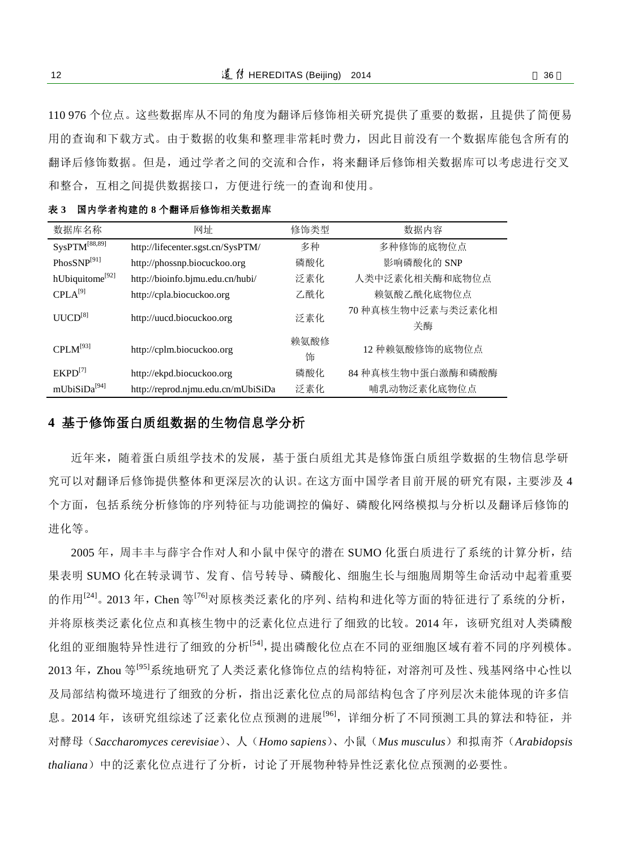110 976 个位点。这些数据库从不同的角度为翻译后修饰相关研究提供了重要的数据,且提供了简便易 用的查询和下载方式。由于数据的收集和整理非常耗时费力,因此目前没有一个数据库能包含所有的 翻译后修饰数据。但是,通过学者之间的交流和合作,将来翻译后修饰相关数据库可以考虑进行交叉 和整合,互相之间提供数据接口,方便进行统一的查询和使用。

| 数据库名称                            | 网址                                 | 修饰类型      | 数据内容                    |
|----------------------------------|------------------------------------|-----------|-------------------------|
| SysPTM <sup>[88,89]</sup>        | http://lifecenter.sgst.cn/SysPTM/  | 多种        | 多种修饰的底物位点               |
| $PhosSNP^{[91]}$                 | http://phossnp.biocuckoo.org       | 磷酸化       | 影响磷酸化的 SNP              |
| hUbiquitome <sup>[92]</sup>      | http://bioinfo.bjmu.edu.cn/hubi/   | 泛素化       | 人类中泛素化相关酶和底物位点          |
| $\text{CPLA}^{[9]}$              | http://cpla.biocuckoo.org          | 乙酰化       | 赖氨酸乙酰化底物位点              |
| $UUCD^{[8]}$                     | http://uucd.biocuckoo.org          | 泛素化       | 70 种真核生物中泛素与类泛素化相<br>关酶 |
| $\text{CPI M}^{\left[93\right]}$ | http://cplm.biocuckoo.org          | 赖氨酸修<br>饰 | 12 种赖氨酸修饰的底物位点          |
| $EKPD^{[7]}$                     | http://ekpd.biocuckoo.org          | 磷酸化       | 84 种真核生物中蛋白激酶和磷酸酶       |
| mUbiSiDa <sup>[94]</sup>         | http://reprod.njmu.edu.cn/mUbiSiDa | 泛素化       | 哺乳动物泛素化底物位点             |

表 **3** 国内学者构建的 **8** 个翻译后修饰相关数据库

## **4** 基于修饰蛋白质组数据的生物信息学分析

近年来,随着蛋白质组学技术的发展,基于蛋白质组尤其是修饰蛋白质组学数据的生物信息学研 究可以对翻译后修饰提供整体和更深层次的认识。在这方面中国学者目前开展的研究有限,主要涉及 4 个方面,包括系统分析修饰的序列特征与功能调控的偏好、磷酸化网络模拟与分析以及翻译后修饰的 进化等。

2005 年,周丰丰与薛宇合作对人和小鼠中保守的潜在 SUMO 化蛋白质进行了系统的计算分析,结 果表明 SUMO 化在转录调节、发育、信号转导、磷酸化、细胞生长与细胞周期等生命活动中起着重要 的作用<sup>[\[24\]](#page-15-4)</sup>。2013年, Chen 等<sup>[\[76\]](#page-17-3)</sup>对原核类泛素化的序列、结构和进化等方面的特征进行了系统的分析, 并将原核类泛素化位点和真核生物中的泛素化位点进行了细致的比较。2014年,该研究组对人类磷酸 化组的亚细胞特异性进行了细致的分析[\[54\]](#page-16-8) ,提出磷酸化位点在不同的亚细胞区域有着不同的序列模体。 2013年, Zhou 等<sup>[\[95\]](#page-17-22)</sup>系统地研究了人类泛素化修饰位点的结构特征, 对溶剂可及性、残基网络中心性以 及局部结构微环境进行了细致的分析,指出泛素化位点的局部结构包含了序列层次未能体现的许多信 息。2014 年,该研究组综述了泛素化位点预测的进展<sup>[\[96\]](#page-17-23)</sup>,详细分析了不同预测工具的算法和特征,并 对酵母(*Saccharomyces cerevisiae*)、人(*Homo sapiens*)、小鼠(*Mus musculus*)和拟南芥(*Arabidopsis thaliana*)中的泛素化位点进行了分析,讨论了开展物种特异性泛素化位点预测的必要性。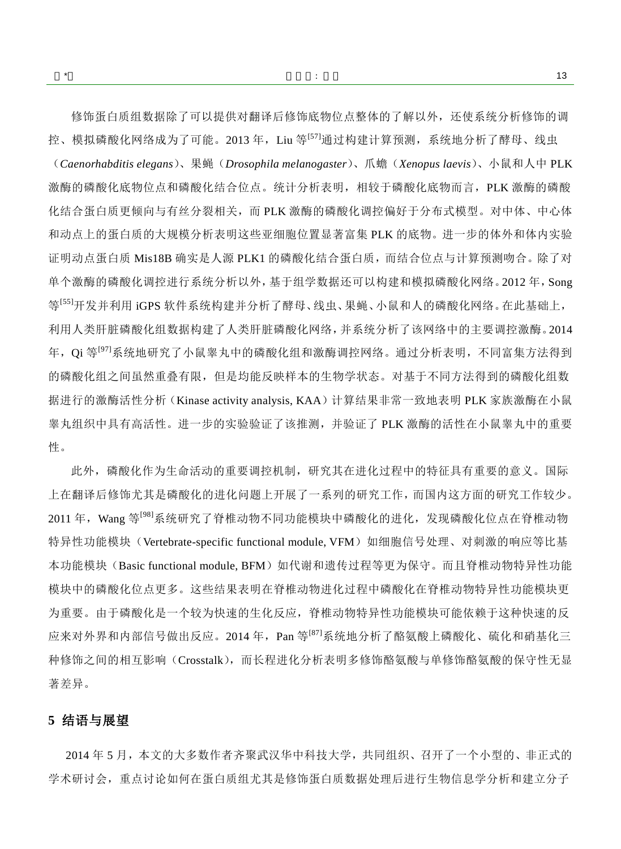$\ddot{\hspace{1.5cm}}$  : the set of the set of the set of the set of the set of the set of the set of the set of the set of the set of the set of the set of the set of the set of the set of the set of the set of the set of the se

修饰蛋白质组数据除了可以提供对翻译后修饰底物位点整体的了解以外,还使系统分析修饰的调 控、模拟磷酸化网络成为了可能。2013 年,Liu 等<sup>[\[57\]](#page-16-11)</sup>通过构建计算预测,系统地分析了酵母、线虫 (*Caenorhabditis elegans*)、果蝇(*Drosophila melanogaster*)、爪蟾(*Xenopus laevis*)、小鼠和人中 PLK 激酶的磷酸化底物位点和磷酸化结合位点。统计分析表明,相较于磷酸化底物而言,PLK 激酶的磷酸 化结合蛋白质更倾向与有丝分裂相关,而 PLK 激酶的磷酸化调控偏好于分布式模型。对中体、中心体 和动点上的蛋白质的大规模分析表明这些亚细胞位置显著富集 PLK 的底物。进一步的体外和体内实验 证明动点蛋白质 Mis18B 确实是人源 PLK1 的磷酸化结合蛋白质,而结合位点与计算预测吻合。除了对 单个激酶的磷酸化调控进行系统分析以外,基于组学数据还可以构建和模拟磷酸化网络。2012 年,Song 等<sup>[\[55\]](#page-16-9)</sup>开发并利用 iGPS 软件系统构建并分析了酵母、线虫、果蝇、小鼠和人的磷酸化网络。在此基础上, 利用人类肝脏磷酸化组数据构建了人类肝脏磷酸化网络,并系统分析了该网络中的主要调控激酶。2014 年, Qi 等<sup>[\[97\]](#page-17-24)</sup>系统地研究了小鼠睾丸中的磷酸化组和激酶调控网络。通过分析表明, 不同富集方法得到 的磷酸化组之间虽然重叠有限,但是均能反映样本的生物学状态。对基于不同方法得到的磷酸化组数 据进行的激酶活性分析(Kinase activity analysis, KAA)计算结果非常一致地表明 PLK 家族激酶在小鼠 睾丸组织中具有高活性。进一步的实验验证了该推测,并验证了 PLK 激酶的活性在小鼠睾丸中的重要 性。

此外,磷酸化作为生命活动的重要调控机制,研究其在进化过程中的特征具有重要的意义。国际 上在翻译后修饰尤其是磷酸化的进化问题上开展了一系列的研究工作,而国内这方面的研究工作较少。 2011 年, Wang 等<sup>[\[98\]](#page-17-25)</sup>系统研究了脊椎动物不同功能模块中磷酸化的进化, 发现磷酸化位点在脊椎动物 特异性功能模块(Vertebrate-specific functional module, VFM)如细胞信号处理、对刺激的响应等比基 本功能模块(Basic functional module, BFM)如代谢和遗传过程等更为保守。而且脊椎动物特异性功能 模块中的磷酸化位点更多。这些结果表明在脊椎动物进化过程中磷酸化在脊椎动物特异性功能模块更 为重要。由于磷酸化是一个较为快速的生化反应,脊椎动物特异性功能模块可能依赖于这种快速的反 应来对外界和内部信号做出反应。2014 年, Pan 等<sup>[\[87\]](#page-17-14)</sup>系统地分析了酪氨酸上磷酸化、硫化和硝基化三 种修饰之间的相互影响(Crosstalk),而长程进化分析表明多修饰酪氨酸与单修饰酪氨酸的保守性无显 著差异。

### **5** 结语与展望

 2014 年 5 月,本文的大多数作者齐聚武汉华中科技大学,共同组织、召开了一个小型的、非正式的 学术研讨会,重点讨论如何在蛋白质组尤其是修饰蛋白质数据处理后进行生物信息学分析和建立分子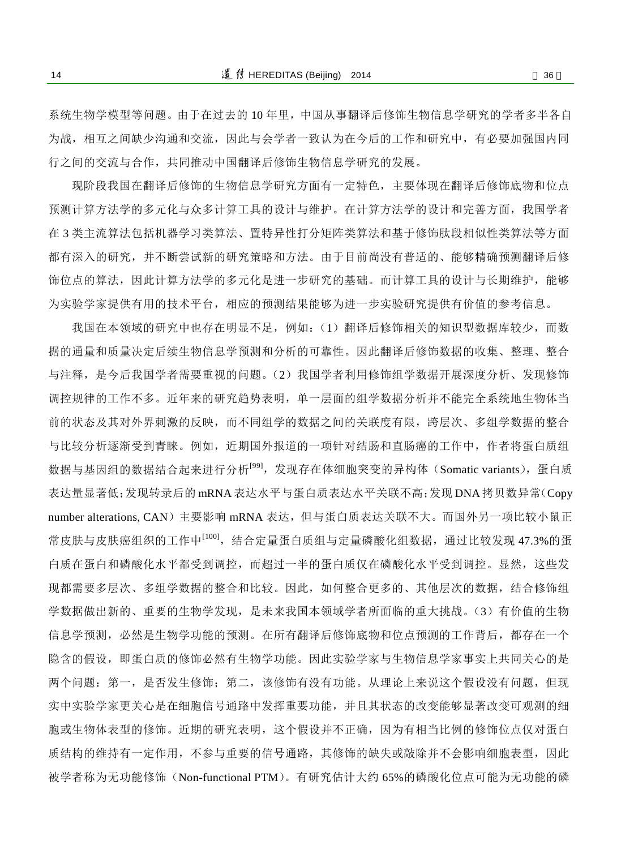系统生物学模型等问题。由于在过去的 10 年里,中国从事翻译后修饰生物信息学研究的学者多半各自 为战,相互之间缺少沟通和交流,因此与会学者一致认为在今后的工作和研究中,有必要加强国内同 行之间的交流与合作,共同推动中国翻译后修饰生物信息学研究的发展。

现阶段我国在翻译后修饰的生物信息学研究方面有一定特色,主要体现在翻译后修饰底物和位点 预测计算方法学的多元化与众多计算工具的设计与维护。在计算方法学的设计和完善方面,我国学者 在 3 类主流算法包括机器学习类算法、置特异性打分矩阵类算法和基于修饰肽段相似性类算法等方面 都有深入的研究,并不断尝试新的研究策略和方法。由于目前尚没有普适的、能够精确预测翻译后修 饰位点的算法,因此计算方法学的多元化是进一步研究的基础。而计算工具的设计与长期维护,能够 为实验学家提供有用的技术平台,相应的预测结果能够为进一步实验研究提供有价值的参考信息。

我国在本领域的研究中也存在明显不足,例如:(1)翻译后修饰相关的知识型数据库较少,而数 据的通量和质量决定后续生物信息学预测和分析的可靠性。因此翻译后修饰数据的收集、整理、整合 与注释,是今后我国学者需要重视的问题。(2)我国学者利用修饰组学数据开展深度分析、发现修饰 调控规律的工作不多。近年来的研究趋势表明,单一层面的组学数据分析并不能完全系统地生物体当 前的状态及其对外界刺激的反映,而不同组学的数据之间的关联度有限,跨层次、多组学数据的整合 与比较分析逐渐受到青睐。例如,近期国外报道的一项针对结肠和直肠癌的工作中,作者将蛋白质组 数据与基因组的数据结合起来进行分析<sup>[\[99\]](#page-18-0)</sup>,发现存在体细胞突变的异构体(Somatic variants),蛋白质 表达量显著低;发现转录后的 mRNA 表达水平与蛋白质表达水平关联不高;发现 DNA拷贝数异常(Copy number alterations, CAN)主要影响 mRNA 表达,但与蛋白质表达关联不大。而国外另一项比较小鼠正 常皮肤与皮肤癌组织的工作中<sup>[\[100\]](#page-18-1)</sup>,结合定量蛋白质组与定量磷酸化组数据,通过比较发现 47.3%的蛋 白质在蛋白和磷酸化水平都受到调控,而超过一半的蛋白质仅在磷酸化水平受到调控。显然,这些发 现都需要多层次、多组学数据的整合和比较。因此,如何整合更多的、其他层次的数据,结合修饰组 学数据做出新的、重要的生物学发现,是未来我国本领域学者所面临的重大挑战。(3)有价值的生物 信息学预测,必然是生物学功能的预测。在所有翻译后修饰底物和位点预测的工作背后,都存在一个 隐含的假设,即蛋白质的修饰必然有生物学功能。因此实验学家与生物信息学家事实上共同关心的是 两个问题: 第一,是否发生修饰;第二,该修饰有没有功能。从理论上来说这个假设没有问题,但现 实中实验学家更关心是在细胞信号通路中发挥重要功能,并且其状态的改变能够显著改变可观测的细 胞或生物体表型的修饰。近期的研究表明,这个假设并不正确,因为有相当比例的修饰位点仅对蛋白 质结构的维持有一定作用,不参与重要的信号通路,其修饰的缺失或敲除并不会影响细胞表型,因此 被学者称为无功能修饰(Non-functional PTM)。有研究估计大约 65%的磷酸化位点可能为无功能的磷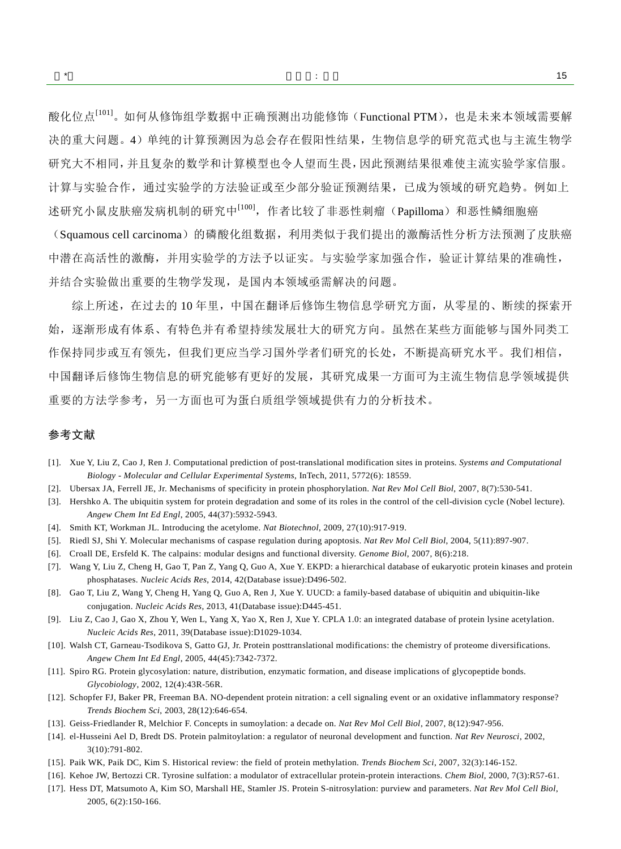酸化位点<sup>[\[101\]](#page-18-2)</sup>。如何从修饰组学数据中正确预测出功能修饰(Functional PTM),也是未来本领域需要解 决的重大问题。4)单纯的计算预测因为总会存在假阳性结果,生物信息学的研究范式也与主流生物学 研究大不相同,并且复杂的数学和计算模型也令人望而生畏,因此预测结果很难使主流实验学家信服。 计算与实验合作,通过实验学的方法验证或至少部分验证预测结果,已成为领域的研究趋势。例如上 述研究小鼠皮肤癌发病机制的研究中<sup>[\[100\]](#page-18-1)</sup>,作者比较了非恶性刺瘤(Papilloma)和恶性鳞细胞癌

(Squamous cell carcinoma)的磷酸化组数据,利用类似于我们提出的激酶活性分析方法预测了皮肤癌 中潜在高活性的激酶,并用实验学的方法予以证实。与实验学家加强合作,验证计算结果的准确性, 并结合实验做出重要的生物学发现,是国内本领域亟需解决的问题。

综上所述,在过去的 10 年里,中国在翻译后修饰生物信息学研究方面,从零星的、断续的探索开 始,逐渐形成有体系、有特色并有希望持续发展壮大的研究方向。虽然在某些方面能够与国外同类工 作保持同步或互有领先,但我们更应当学习国外学者们研究的长处,不断提高研究水平。我们相信, 中国翻译后修饰生物信息的研究能够有更好的发展,其研究成果一方面可为主流生物信息学领域提供 重要的方法学参考,另一方面也可为蛋白质组学领域提供有力的分析技术。

#### 参考文献

- <span id="page-14-0"></span>[1]. Xue Y, Liu Z, Cao J, Ren J. Computational prediction of post-translational modification sites in proteins. *Systems and Computational Biology - Molecular and Cellular Experimental Systems*, InTech, 2011, 5772(6): 18559.
- <span id="page-14-1"></span>[2]. Ubersax JA, Ferrell JE, Jr. Mechanisms of specificity in protein phosphorylation. *Nat Rev Mol Cell Biol*, 2007, 8(7):530-541.
- <span id="page-14-2"></span>[3]. Hershko A. The ubiquitin system for protein degradation and some of its roles in the control of the cell-division cycle (Nobel lecture). *Angew Chem Int Ed Engl*, 2005, 44(37):5932-5943.
- <span id="page-14-3"></span>[4]. Smith KT, Workman JL. Introducing the acetylome. *Nat Biotechnol*, 2009, 27(10):917-919.
- <span id="page-14-4"></span>[5]. Riedl SJ, Shi Y. Molecular mechanisms of caspase regulation during apoptosis. *Nat Rev Mol Cell Biol*, 2004, 5(11):897-907.
- <span id="page-14-5"></span>[6]. Croall DE, Ersfeld K. The calpains: modular designs and functional diversity. *Genome Biol*, 2007, 8(6):218.
- <span id="page-14-6"></span>[7]. Wang Y, Liu Z, Cheng H, Gao T, Pan Z, Yang Q, Guo A, Xue Y. EKPD: a hierarchical database of eukaryotic protein kinases and protein phosphatases. *Nucleic Acids Res*, 2014, 42(Database issue):D496-502.
- <span id="page-14-7"></span>[8]. Gao T, Liu Z, Wang Y, Cheng H, Yang Q, Guo A, Ren J, Xue Y. UUCD: a family-based database of ubiquitin and ubiquitin-like conjugation. *Nucleic Acids Res*, 2013, 41(Database issue):D445-451.
- <span id="page-14-8"></span>[9]. Liu Z, Cao J, Gao X, Zhou Y, Wen L, Yang X, Yao X, Ren J, Xue Y. CPLA 1.0: an integrated database of protein lysine acetylation. *Nucleic Acids Res*, 2011, 39(Database issue):D1029-1034.
- <span id="page-14-9"></span>[10]. Walsh CT, Garneau-Tsodikova S, Gatto GJ, Jr. Protein posttranslational modifications: the chemistry of proteome diversifications. *Angew Chem Int Ed Engl*, 2005, 44(45):7342-7372.
- <span id="page-14-10"></span>[11]. Spiro RG. Protein glycosylation: nature, distribution, enzymatic formation, and disease implications of glycopeptide bonds. *Glycobiology*, 2002, 12(4):43R-56R.
- <span id="page-14-11"></span>[12]. Schopfer FJ, Baker PR, Freeman BA. NO-dependent protein nitration: a cell signaling event or an oxidative inflammatory response? *Trends Biochem Sci*, 2003, 28(12):646-654.
- <span id="page-14-12"></span>[13]. Geiss-Friedlander R, Melchior F. Concepts in sumoylation: a decade on. *Nat Rev Mol Cell Biol*, 2007, 8(12):947-956.
- <span id="page-14-13"></span>[14]. el-Husseini Ael D, Bredt DS. Protein palmitoylation: a regulator of neuronal development and function. *Nat Rev Neurosci*, 2002, 3(10):791-802.
- <span id="page-14-14"></span>[15]. Paik WK, Paik DC, Kim S. Historical review: the field of protein methylation. *Trends Biochem Sci*, 2007, 32(3):146-152.
- <span id="page-14-15"></span>[16]. Kehoe JW, Bertozzi CR. Tyrosine sulfation: a modulator of extracellular protein-protein interactions. *Chem Biol*, 2000, 7(3):R57-61.
- <span id="page-14-16"></span>[17]. Hess DT, Matsumoto A, Kim SO, Marshall HE, Stamler JS. Protein S-nitrosylation: purview and parameters. *Nat Rev Mol Cell Biol*, 2005, 6(2):150-166.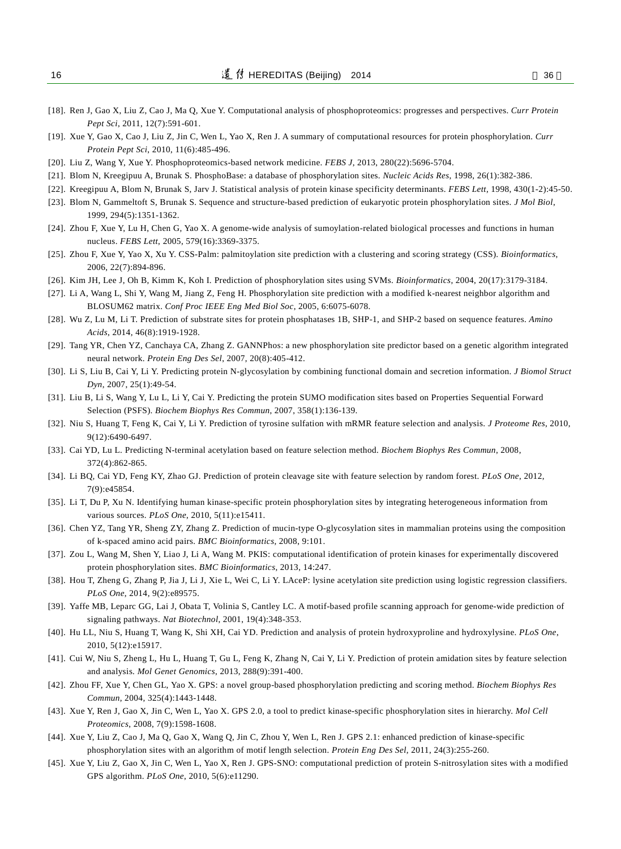- <span id="page-15-0"></span>[18]. Ren J, Gao X, Liu Z, Cao J, Ma Q, Xue Y. Computational analysis of phosphoproteomics: progresses and perspectives. *Curr Protein Pept Sci*, 2011, 12(7):591-601.
- <span id="page-15-1"></span>[19]. Xue Y, Gao X, Cao J, Liu Z, Jin C, Wen L, Yao X, Ren J. A summary of computational resources for protein phosphorylation. *Curr Protein Pept Sci*, 2010, 11(6):485-496.
- <span id="page-15-2"></span>[20]. Liu Z, Wang Y, Xue Y. Phosphoproteomics-based network medicine. *FEBS J*, 2013, 280(22):5696-5704.
- <span id="page-15-3"></span>[21]. Blom N, Kreegipuu A, Brunak S. PhosphoBase: a database of phosphorylation sites. *Nucleic Acids Res*, 1998, 26(1):382-386.
- [22]. Kreegipuu A, Blom N, Brunak S, Jarv J. Statistical analysis of protein kinase specificity determinants. *FEBS Lett*, 1998, 430(1-2):45-50.
- <span id="page-15-6"></span>[23]. Blom N, Gammeltoft S, Brunak S. Sequence and structure-based prediction of eukaryotic protein phosphorylation sites. *J Mol Biol*, 1999, 294(5):1351-1362.
- <span id="page-15-4"></span>[24]. Zhou F, Xue Y, Lu H, Chen G, Yao X. A genome-wide analysis of sumoylation-related biological processes and functions in human nucleus. *FEBS Lett*, 2005, 579(16):3369-3375.
- <span id="page-15-5"></span>[25]. Zhou F, Xue Y, Yao X, Xu Y. CSS-Palm: palmitoylation site prediction with a clustering and scoring strategy (CSS). *Bioinformatics*, 2006, 22(7):894-896.
- <span id="page-15-7"></span>[26]. Kim JH, Lee J, Oh B, Kimm K, Koh I. Prediction of phosphorylation sites using SVMs. *Bioinformatics*, 2004, 20(17):3179-3184.
- <span id="page-15-8"></span>[27]. Li A, Wang L, Shi Y, Wang M, Jiang Z, Feng H. Phosphorylation site prediction with a modified k-nearest neighbor algorithm and BLOSUM62 matrix. *Conf Proc IEEE Eng Med Biol Soc*, 2005, 6:6075-6078.
- <span id="page-15-9"></span>[28]. Wu Z, Lu M, Li T. Prediction of substrate sites for protein phosphatases 1B, SHP-1, and SHP-2 based on sequence features. *Amino Acids*, 2014, 46(8):1919-1928.
- <span id="page-15-10"></span>[29]. Tang YR, Chen YZ, Canchaya CA, Zhang Z. GANNPhos: a new phosphorylation site predictor based on a genetic algorithm integrated neural network. *Protein Eng Des Sel*, 2007, 20(8):405-412.
- <span id="page-15-11"></span>[30]. Li S, Liu B, Cai Y, Li Y. Predicting protein N-glycosylation by combining functional domain and secretion information. *J Biomol Struct Dyn*, 2007, 25(1):49-54.
- <span id="page-15-12"></span>[31]. Liu B, Li S, Wang Y, Lu L, Li Y, Cai Y. Predicting the protein SUMO modification sites based on Properties Sequential Forward Selection (PSFS). *Biochem Biophys Res Commun*, 2007, 358(1):136-139.
- <span id="page-15-13"></span>[32]. Niu S, Huang T, Feng K, Cai Y, Li Y. Prediction of tyrosine sulfation with mRMR feature selection and analysis. *J Proteome Res*, 2010, 9(12):6490-6497.
- <span id="page-15-14"></span>[33]. Cai YD, Lu L. Predicting N-terminal acetylation based on feature selection method. *Biochem Biophys Res Commun*, 2008, 372(4):862-865.
- <span id="page-15-15"></span>[34]. Li BQ, Cai YD, Feng KY, Zhao GJ. Prediction of protein cleavage site with feature selection by random forest. *PLoS One*, 2012, 7(9):e45854.
- <span id="page-15-16"></span>[35]. Li T, Du P, Xu N. Identifying human kinase-specific protein phosphorylation sites by integrating heterogeneous information from various sources. *PLoS One*, 2010, 5(11):e15411.
- <span id="page-15-17"></span>[36]. Chen YZ, Tang YR, Sheng ZY, Zhang Z. Prediction of mucin-type O-glycosylation sites in mammalian proteins using the composition of k-spaced amino acid pairs. *BMC Bioinformatics*, 2008, 9:101.
- <span id="page-15-18"></span>[37]. Zou L, Wang M, Shen Y, Liao J, Li A, Wang M. PKIS: computational identification of protein kinases for experimentally discovered protein phosphorylation sites. *BMC Bioinformatics*, 2013, 14:247.
- <span id="page-15-19"></span>[38]. Hou T, Zheng G, Zhang P, Jia J, Li J, Xie L, Wei C, Li Y. LAceP: lysine acetylation site prediction using logistic regression classifiers. *PLoS One*, 2014, 9(2):e89575.
- <span id="page-15-20"></span>[39]. Yaffe MB, Leparc GG, Lai J, Obata T, Volinia S, Cantley LC. A motif-based profile scanning approach for genome-wide prediction of signaling pathways. *Nat Biotechnol*, 2001, 19(4):348-353.
- <span id="page-15-21"></span>[40]. Hu LL, Niu S, Huang T, Wang K, Shi XH, Cai YD. Prediction and analysis of protein hydroxyproline and hydroxylysine. *PLoS One*, 2010, 5(12):e15917.
- <span id="page-15-22"></span>[41]. Cui W, Niu S, Zheng L, Hu L, Huang T, Gu L, Feng K, Zhang N, Cai Y, Li Y. Prediction of protein amidation sites by feature selection and analysis. *Mol Genet Genomics*, 2013, 288(9):391-400.
- <span id="page-15-23"></span>[42]. Zhou FF, Xue Y, Chen GL, Yao X. GPS: a novel group-based phosphorylation predicting and scoring method. *Biochem Biophys Res Commun*, 2004, 325(4):1443-1448.
- <span id="page-15-24"></span>[43]. Xue Y, Ren J, Gao X, Jin C, Wen L, Yao X. GPS 2.0, a tool to predict kinase-specific phosphorylation sites in hierarchy. *Mol Cell Proteomics*, 2008, 7(9):1598-1608.
- <span id="page-15-25"></span>[44]. Xue Y, Liu Z, Cao J, Ma Q, Gao X, Wang Q, Jin C, Zhou Y, Wen L, Ren J. GPS 2.1: enhanced prediction of kinase-specific phosphorylation sites with an algorithm of motif length selection. *Protein Eng Des Sel*, 2011, 24(3):255-260.
- <span id="page-15-26"></span>[45]. Xue Y, Liu Z, Gao X, Jin C, Wen L, Yao X, Ren J. GPS-SNO: computational prediction of protein S-nitrosylation sites with a modified GPS algorithm. *PLoS One*, 2010, 5(6):e11290.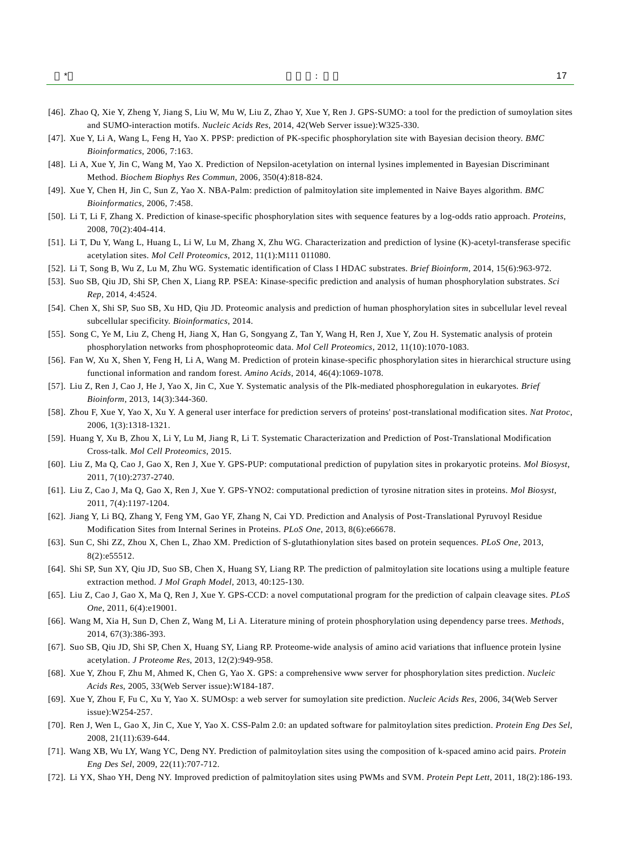- <span id="page-16-0"></span>[46]. Zhao Q, Xie Y, Zheng Y, Jiang S, Liu W, Mu W, Liu Z, Zhao Y, Xue Y, Ren J. GPS-SUMO: a tool for the prediction of sumoylation sites and SUMO-interaction motifs. *Nucleic Acids Res*, 2014, 42(Web Server issue):W325-330.
- <span id="page-16-1"></span>[47]. Xue Y, Li A, Wang L, Feng H, Yao X. PPSP: prediction of PK-specific phosphorylation site with Bayesian decision theory. *BMC Bioinformatics*, 2006, 7:163.
- <span id="page-16-2"></span>[48]. Li A, Xue Y, Jin C, Wang M, Yao X. Prediction of Nepsilon-acetylation on internal lysines implemented in Bayesian Discriminant Method. *Biochem Biophys Res Commun*, 2006, 350(4):818-824.
- <span id="page-16-3"></span>[49]. Xue Y, Chen H, Jin C, Sun Z, Yao X. NBA-Palm: prediction of palmitoylation site implemented in Naive Bayes algorithm. *BMC Bioinformatics*, 2006, 7:458.
- <span id="page-16-4"></span>[50]. Li T, Li F, Zhang X. Prediction of kinase-specific phosphorylation sites with sequence features by a log-odds ratio approach. *Proteins*, 2008, 70(2):404-414.
- <span id="page-16-5"></span>[51]. Li T, Du Y, Wang L, Huang L, Li W, Lu M, Zhang X, Zhu WG. Characterization and prediction of lysine (K)-acetyl-transferase specific acetylation sites. *Mol Cell Proteomics*, 2012, 11(1):M111 011080.
- <span id="page-16-6"></span>[52]. Li T, Song B, Wu Z, Lu M, Zhu WG. Systematic identification of Class I HDAC substrates. *Brief Bioinform*, 2014, 15(6):963-972.
- <span id="page-16-7"></span>[53]. Suo SB, Qiu JD, Shi SP, Chen X, Liang RP. PSEA: Kinase-specific prediction and analysis of human phosphorylation substrates. *Sci Rep*, 2014, 4:4524.
- <span id="page-16-8"></span>[54]. Chen X, Shi SP, Suo SB, Xu HD, Qiu JD. Proteomic analysis and prediction of human phosphorylation sites in subcellular level reveal subcellular specificity. *Bioinformatics*, 2014.
- <span id="page-16-9"></span>[55]. Song C, Ye M, Liu Z, Cheng H, Jiang X, Han G, Songyang Z, Tan Y, Wang H, Ren J, Xue Y, Zou H. Systematic analysis of protein phosphorylation networks from phosphoproteomic data. *Mol Cell Proteomics*, 2012, 11(10):1070-1083.
- <span id="page-16-10"></span>[56]. Fan W, Xu X, Shen Y, Feng H, Li A, Wang M. Prediction of protein kinase-specific phosphorylation sites in hierarchical structure using functional information and random forest. *Amino Acids*, 2014, 46(4):1069-1078.
- <span id="page-16-11"></span>[57]. Liu Z, Ren J, Cao J, He J, Yao X, Jin C, Xue Y. Systematic analysis of the Plk-mediated phosphoregulation in eukaryotes. *Brief Bioinform*, 2013, 14(3):344-360.
- <span id="page-16-12"></span>[58]. Zhou F, Xue Y, Yao X, Xu Y. A general user interface for prediction servers of proteins' post-translational modification sites. *Nat Protoc*, 2006, 1(3):1318-1321.
- <span id="page-16-13"></span>[59]. Huang Y, Xu B, Zhou X, Li Y, Lu M, Jiang R, Li T. Systematic Characterization and Prediction of Post-Translational Modification Cross-talk. *Mol Cell Proteomics*, 2015.
- <span id="page-16-14"></span>[60]. Liu Z, Ma Q, Cao J, Gao X, Ren J, Xue Y. GPS-PUP: computational prediction of pupylation sites in prokaryotic proteins. *Mol Biosyst*, 2011, 7(10):2737-2740.
- <span id="page-16-15"></span>[61]. Liu Z, Cao J, Ma Q, Gao X, Ren J, Xue Y. GPS-YNO2: computational prediction of tyrosine nitration sites in proteins. *Mol Biosyst*, 2011, 7(4):1197-1204.
- <span id="page-16-16"></span>[62]. Jiang Y, Li BQ, Zhang Y, Feng YM, Gao YF, Zhang N, Cai YD. Prediction and Analysis of Post-Translational Pyruvoyl Residue Modification Sites from Internal Serines in Proteins. *PLoS One*, 2013, 8(6):e66678.
- <span id="page-16-17"></span>[63]. Sun C, Shi ZZ, Zhou X, Chen L, Zhao XM. Prediction of S-glutathionylation sites based on protein sequences. *PLoS One*, 2013, 8(2):e55512.
- <span id="page-16-18"></span>[64]. Shi SP, Sun XY, Qiu JD, Suo SB, Chen X, Huang SY, Liang RP. The prediction of palmitoylation site locations using a multiple feature extraction method. *J Mol Graph Model*, 2013, 40:125-130.
- <span id="page-16-19"></span>[65]. Liu Z, Cao J, Gao X, Ma Q, Ren J, Xue Y. GPS-CCD: a novel computational program for the prediction of calpain cleavage sites. *PLoS One*, 2011, 6(4):e19001.
- <span id="page-16-20"></span>[66]. Wang M, Xia H, Sun D, Chen Z, Wang M, Li A. Literature mining of protein phosphorylation using dependency parse trees. *Methods*, 2014, 67(3):386-393.
- <span id="page-16-21"></span>[67]. Suo SB, Qiu JD, Shi SP, Chen X, Huang SY, Liang RP. Proteome-wide analysis of amino acid variations that influence protein lysine acetylation. *J Proteome Res*, 2013, 12(2):949-958.
- <span id="page-16-22"></span>[68]. Xue Y, Zhou F, Zhu M, Ahmed K, Chen G, Yao X. GPS: a comprehensive www server for phosphorylation sites prediction. *Nucleic Acids Res*, 2005, 33(Web Server issue):W184-187.
- <span id="page-16-23"></span>[69]. Xue Y, Zhou F, Fu C, Xu Y, Yao X. SUMOsp: a web server for sumoylation site prediction. *Nucleic Acids Res*, 2006, 34(Web Server issue):W254-257.
- <span id="page-16-24"></span>[70]. Ren J, Wen L, Gao X, Jin C, Xue Y, Yao X. CSS-Palm 2.0: an updated software for palmitoylation sites prediction. *Protein Eng Des Sel*, 2008, 21(11):639-644.
- <span id="page-16-25"></span>[71]. Wang XB, Wu LY, Wang YC, Deng NY. Prediction of palmitoylation sites using the composition of k-spaced amino acid pairs. *Protein Eng Des Sel*, 2009, 22(11):707-712.
- <span id="page-16-26"></span>[72]. Li YX, Shao YH, Deng NY. Improved prediction of palmitoylation sites using PWMs and SVM. *Protein Pept Lett*, 2011, 18(2):186-193.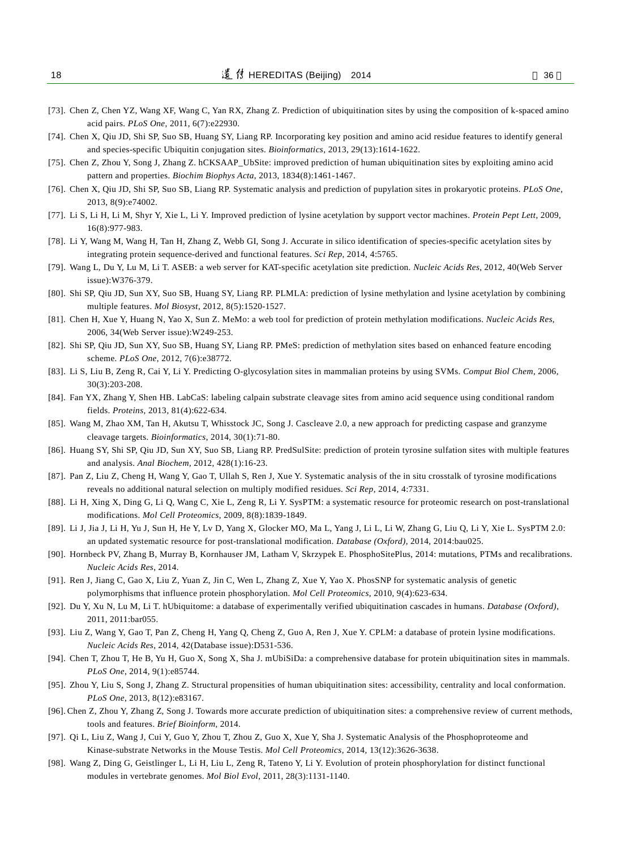- <span id="page-17-0"></span>[73]. Chen Z, Chen YZ, Wang XF, Wang C, Yan RX, Zhang Z. Prediction of ubiquitination sites by using the composition of k-spaced amino acid pairs. *PLoS One*, 2011, 6(7):e22930.
- <span id="page-17-1"></span>[74]. Chen X, Qiu JD, Shi SP, Suo SB, Huang SY, Liang RP. Incorporating key position and amino acid residue features to identify general and species-specific Ubiquitin conjugation sites. *Bioinformatics*, 2013, 29(13):1614-1622.
- <span id="page-17-2"></span>[75]. Chen Z, Zhou Y, Song J, Zhang Z. hCKSAAP\_UbSite: improved prediction of human ubiquitination sites by exploiting amino acid pattern and properties. *Biochim Biophys Acta*, 2013, 1834(8):1461-1467.
- <span id="page-17-3"></span>[76]. Chen X, Qiu JD, Shi SP, Suo SB, Liang RP. Systematic analysis and prediction of pupylation sites in prokaryotic proteins. *PLoS One*, 2013, 8(9):e74002.
- <span id="page-17-4"></span>[77]. Li S, Li H, Li M, Shyr Y, Xie L, Li Y. Improved prediction of lysine acetylation by support vector machines. *Protein Pept Lett*, 2009, 16(8):977-983.
- <span id="page-17-5"></span>[78]. Li Y, Wang M, Wang H, Tan H, Zhang Z, Webb GI, Song J. Accurate in silico identification of species-specific acetylation sites by integrating protein sequence-derived and functional features. *Sci Rep*, 2014, 4:5765.
- <span id="page-17-6"></span>[79]. Wang L, Du Y, Lu M, Li T. ASEB: a web server for KAT-specific acetylation site prediction. *Nucleic Acids Res*, 2012, 40(Web Server issue):W376-379.
- <span id="page-17-7"></span>[80]. Shi SP, Qiu JD, Sun XY, Suo SB, Huang SY, Liang RP. PLMLA: prediction of lysine methylation and lysine acetylation by combining multiple features. *Mol Biosyst*, 2012, 8(5):1520-1527.
- <span id="page-17-8"></span>[81]. Chen H, Xue Y, Huang N, Yao X, Sun Z. MeMo: a web tool for prediction of protein methylation modifications. *Nucleic Acids Res*, 2006, 34(Web Server issue):W249-253.
- <span id="page-17-9"></span>[82]. Shi SP, Qiu JD, Sun XY, Suo SB, Huang SY, Liang RP. PMeS: prediction of methylation sites based on enhanced feature encoding scheme. *PLoS One*, 2012, 7(6):e38772.
- <span id="page-17-10"></span>[83]. Li S, Liu B, Zeng R, Cai Y, Li Y. Predicting O-glycosylation sites in mammalian proteins by using SVMs. *Comput Biol Chem*, 2006, 30(3):203-208.
- <span id="page-17-11"></span>[84]. Fan YX, Zhang Y, Shen HB. LabCaS: labeling calpain substrate cleavage sites from amino acid sequence using conditional random fields. *Proteins*, 2013, 81(4):622-634.
- <span id="page-17-12"></span>[85]. Wang M, Zhao XM, Tan H, Akutsu T, Whisstock JC, Song J. Cascleave 2.0, a new approach for predicting caspase and granzyme cleavage targets. *Bioinformatics*, 2014, 30(1):71-80.
- <span id="page-17-13"></span>[86]. Huang SY, Shi SP, Qiu JD, Sun XY, Suo SB, Liang RP. PredSulSite: prediction of protein tyrosine sulfation sites with multiple features and analysis. *Anal Biochem*, 2012, 428(1):16-23.
- <span id="page-17-14"></span>[87]. Pan Z, Liu Z, Cheng H, Wang Y, Gao T, Ullah S, Ren J, Xue Y. Systematic analysis of the in situ crosstalk of tyrosine modifications reveals no additional natural selection on multiply modified residues. *Sci Rep*, 2014, 4:7331.
- <span id="page-17-15"></span>[88]. Li H, Xing X, Ding G, Li Q, Wang C, Xie L, Zeng R, Li Y. SysPTM: a systematic resource for proteomic research on post-translational modifications. *Mol Cell Proteomics*, 2009, 8(8):1839-1849.
- <span id="page-17-16"></span>[89]. Li J, Jia J, Li H, Yu J, Sun H, He Y, Lv D, Yang X, Glocker MO, Ma L, Yang J, Li L, Li W, Zhang G, Liu Q, Li Y, Xie L. SysPTM 2.0: an updated systematic resource for post-translational modification. *Database (Oxford)*, 2014, 2014:bau025.
- <span id="page-17-17"></span>[90]. Hornbeck PV, Zhang B, Murray B, Kornhauser JM, Latham V, Skrzypek E. PhosphoSitePlus, 2014: mutations, PTMs and recalibrations. *Nucleic Acids Res*, 2014.
- <span id="page-17-18"></span>[91]. Ren J, Jiang C, Gao X, Liu Z, Yuan Z, Jin C, Wen L, Zhang Z, Xue Y, Yao X. PhosSNP for systematic analysis of genetic polymorphisms that influence protein phosphorylation. *Mol Cell Proteomics*, 2010, 9(4):623-634.
- <span id="page-17-19"></span>[92]. Du Y, Xu N, Lu M, Li T. hUbiquitome: a database of experimentally verified ubiquitination cascades in humans. *Database (Oxford)*, 2011, 2011:bar055.
- <span id="page-17-20"></span>[93]. Liu Z, Wang Y, Gao T, Pan Z, Cheng H, Yang Q, Cheng Z, Guo A, Ren J, Xue Y. CPLM: a database of protein lysine modifications. *Nucleic Acids Res*, 2014, 42(Database issue):D531-536.
- <span id="page-17-21"></span>[94]. Chen T, Zhou T, He B, Yu H, Guo X, Song X, Sha J. mUbiSiDa: a comprehensive database for protein ubiquitination sites in mammals. *PLoS One*, 2014, 9(1):e85744.
- <span id="page-17-22"></span>[95]. Zhou Y, Liu S, Song J, Zhang Z. Structural propensities of human ubiquitination sites: accessibility, centrality and local conformation. *PLoS One*, 2013, 8(12):e83167.
- <span id="page-17-23"></span>[96]. Chen Z, Zhou Y, Zhang Z, Song J. Towards more accurate prediction of ubiquitination sites: a comprehensive review of current methods, tools and features. *Brief Bioinform*, 2014.
- <span id="page-17-24"></span>[97]. Qi L, Liu Z, Wang J, Cui Y, Guo Y, Zhou T, Zhou Z, Guo X, Xue Y, Sha J. Systematic Analysis of the Phosphoproteome and Kinase-substrate Networks in the Mouse Testis. *Mol Cell Proteomics*, 2014, 13(12):3626-3638.
- <span id="page-17-25"></span>[98]. Wang Z, Ding G, Geistlinger L, Li H, Liu L, Zeng R, Tateno Y, Li Y. Evolution of protein phosphorylation for distinct functional modules in vertebrate genomes. *Mol Biol Evol*, 2011, 28(3):1131-1140.